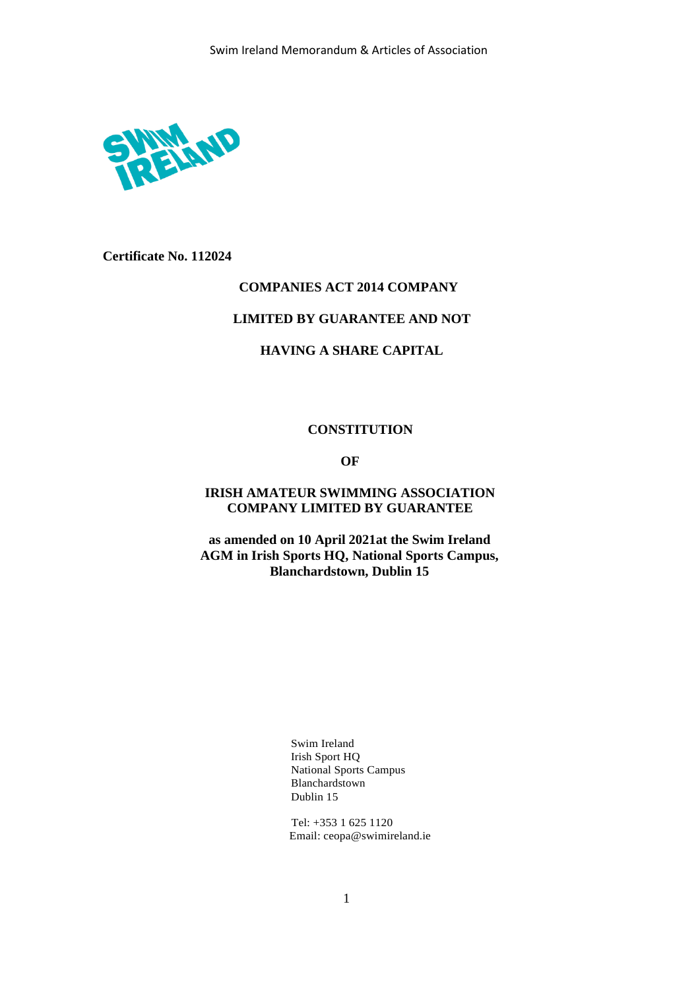

**Certificate No. 112024**

# **COMPANIES ACT 2014 COMPANY**

# **LIMITED BY GUARANTEE AND NOT**

# **HAVING A SHARE CAPITAL**

#### **CONSTITUTION**

# **OF**

# **IRISH AMATEUR SWIMMING ASSOCIATION COMPANY LIMITED BY GUARANTEE**

**as amended on 10 April 2021at the Swim Ireland AGM in Irish Sports HQ, National Sports Campus, Blanchardstown, Dublin 15**

> Swim Ireland Irish Sport HQ National Sports Campus Blanchardstown Dublin 15

Tel: +353 1 625 1120 Email: [ceopa@swimireland.ie](mailto:ceopa@swimireland.ie)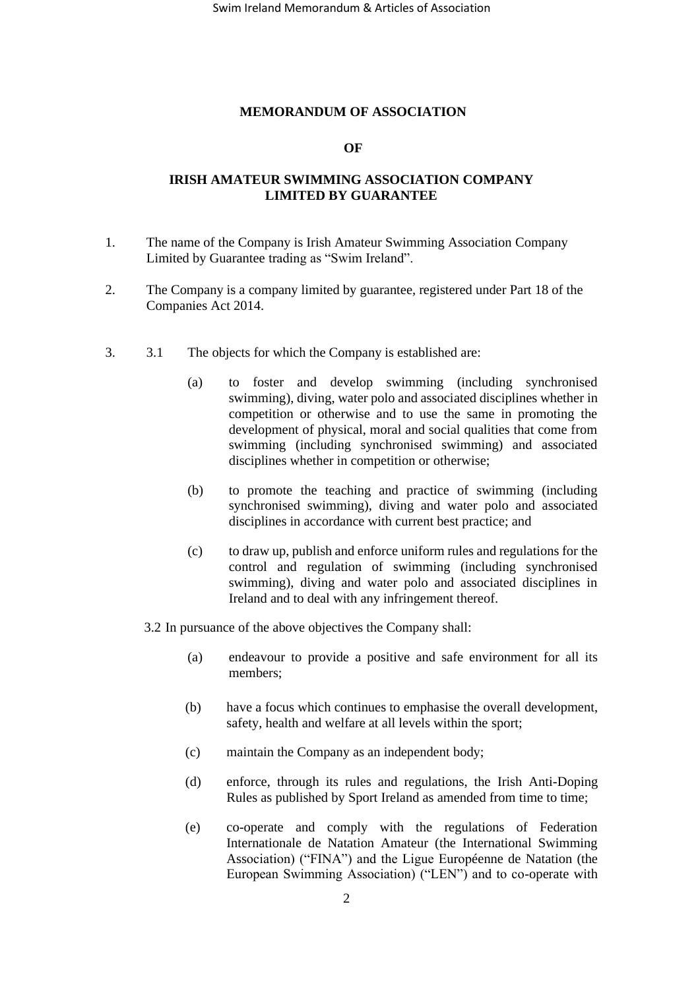## **MEMORANDUM OF ASSOCIATION**

## **OF**

# **IRISH AMATEUR SWIMMING ASSOCIATION COMPANY LIMITED BY GUARANTEE**

- 1. The name of the Company is Irish Amateur Swimming Association Company Limited by Guarantee trading as "Swim Ireland".
- 2. The Company is a company limited by guarantee, registered under Part 18 of the Companies Act 2014.
- 3. 3.1 The objects for which the Company is established are:
	- (a) to foster and develop swimming (including synchronised swimming), diving, water polo and associated disciplines whether in competition or otherwise and to use the same in promoting the development of physical, moral and social qualities that come from swimming (including synchronised swimming) and associated disciplines whether in competition or otherwise;
	- (b) to promote the teaching and practice of swimming (including synchronised swimming), diving and water polo and associated disciplines in accordance with current best practice; and
	- (c) to draw up, publish and enforce uniform rules and regulations for the control and regulation of swimming (including synchronised swimming), diving and water polo and associated disciplines in Ireland and to deal with any infringement thereof.
	- 3.2 In pursuance of the above objectives the Company shall:
		- (a) endeavour to provide a positive and safe environment for all its members;
		- (b) have a focus which continues to emphasise the overall development, safety, health and welfare at all levels within the sport;
		- (c) maintain the Company as an independent body;
		- (d) enforce, through its rules and regulations, the Irish Anti-Doping Rules as published by Sport Ireland as amended from time to time;
		- (e) co-operate and comply with the regulations of Federation Internationale de Natation Amateur (the International Swimming Association) ("FINA") and the Ligue Européenne de Natation (the European Swimming Association) ("LEN") and to co-operate with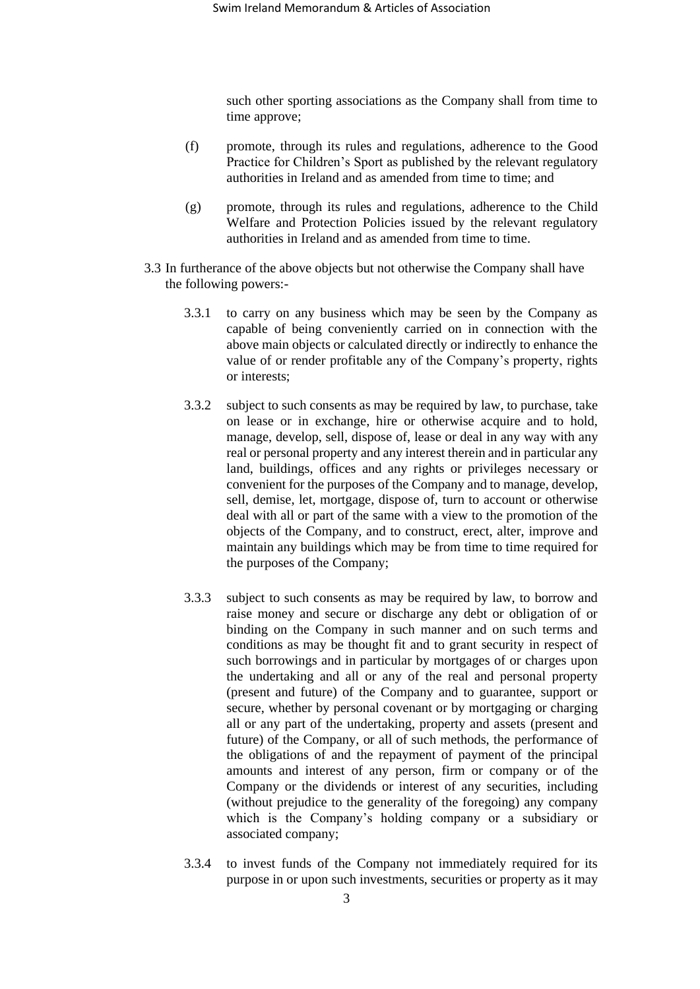such other sporting associations as the Company shall from time to time approve;

- (f) promote, through its rules and regulations, adherence to the Good Practice for Children's Sport as published by the relevant regulatory authorities in Ireland and as amended from time to time; and
- (g) promote, through its rules and regulations, adherence to the Child Welfare and Protection Policies issued by the relevant regulatory authorities in Ireland and as amended from time to time.
- 3.3 In furtherance of the above objects but not otherwise the Company shall have the following powers:-
	- 3.3.1 to carry on any business which may be seen by the Company as capable of being conveniently carried on in connection with the above main objects or calculated directly or indirectly to enhance the value of or render profitable any of the Company's property, rights or interests;
	- 3.3.2 subject to such consents as may be required by law, to purchase, take on lease or in exchange, hire or otherwise acquire and to hold, manage, develop, sell, dispose of, lease or deal in any way with any real or personal property and any interest therein and in particular any land, buildings, offices and any rights or privileges necessary or convenient for the purposes of the Company and to manage, develop, sell, demise, let, mortgage, dispose of, turn to account or otherwise deal with all or part of the same with a view to the promotion of the objects of the Company, and to construct, erect, alter, improve and maintain any buildings which may be from time to time required for the purposes of the Company;
	- 3.3.3 subject to such consents as may be required by law, to borrow and raise money and secure or discharge any debt or obligation of or binding on the Company in such manner and on such terms and conditions as may be thought fit and to grant security in respect of such borrowings and in particular by mortgages of or charges upon the undertaking and all or any of the real and personal property (present and future) of the Company and to guarantee, support or secure, whether by personal covenant or by mortgaging or charging all or any part of the undertaking, property and assets (present and future) of the Company, or all of such methods, the performance of the obligations of and the repayment of payment of the principal amounts and interest of any person, firm or company or of the Company or the dividends or interest of any securities, including (without prejudice to the generality of the foregoing) any company which is the Company's holding company or a subsidiary or associated company;
	- 3.3.4 to invest funds of the Company not immediately required for its purpose in or upon such investments, securities or property as it may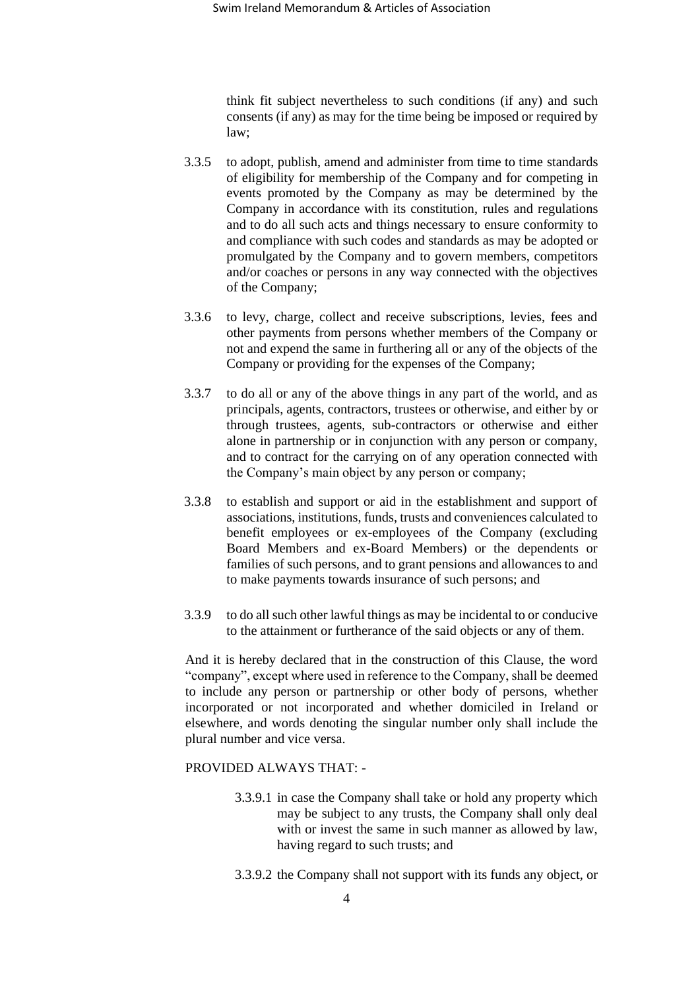think fit subject nevertheless to such conditions (if any) and such consents (if any) as may for the time being be imposed or required by law;

- 3.3.5 to adopt, publish, amend and administer from time to time standards of eligibility for membership of the Company and for competing in events promoted by the Company as may be determined by the Company in accordance with its constitution, rules and regulations and to do all such acts and things necessary to ensure conformity to and compliance with such codes and standards as may be adopted or promulgated by the Company and to govern members, competitors and/or coaches or persons in any way connected with the objectives of the Company;
- 3.3.6 to levy, charge, collect and receive subscriptions, levies, fees and other payments from persons whether members of the Company or not and expend the same in furthering all or any of the objects of the Company or providing for the expenses of the Company;
- 3.3.7 to do all or any of the above things in any part of the world, and as principals, agents, contractors, trustees or otherwise, and either by or through trustees, agents, sub-contractors or otherwise and either alone in partnership or in conjunction with any person or company, and to contract for the carrying on of any operation connected with the Company's main object by any person or company;
- 3.3.8 to establish and support or aid in the establishment and support of associations, institutions, funds, trusts and conveniences calculated to benefit employees or ex-employees of the Company (excluding Board Members and ex-Board Members) or the dependents or families of such persons, and to grant pensions and allowances to and to make payments towards insurance of such persons; and
- 3.3.9 to do all such other lawful things as may be incidental to or conducive to the attainment or furtherance of the said objects or any of them.

And it is hereby declared that in the construction of this Clause, the word "company", except where used in reference to the Company, shall be deemed to include any person or partnership or other body of persons, whether incorporated or not incorporated and whether domiciled in Ireland or elsewhere, and words denoting the singular number only shall include the plural number and vice versa.

## PROVIDED ALWAYS THAT: -

- 3.3.9.1 in case the Company shall take or hold any property which may be subject to any trusts, the Company shall only deal with or invest the same in such manner as allowed by law, having regard to such trusts; and
- 3.3.9.2 the Company shall not support with its funds any object, or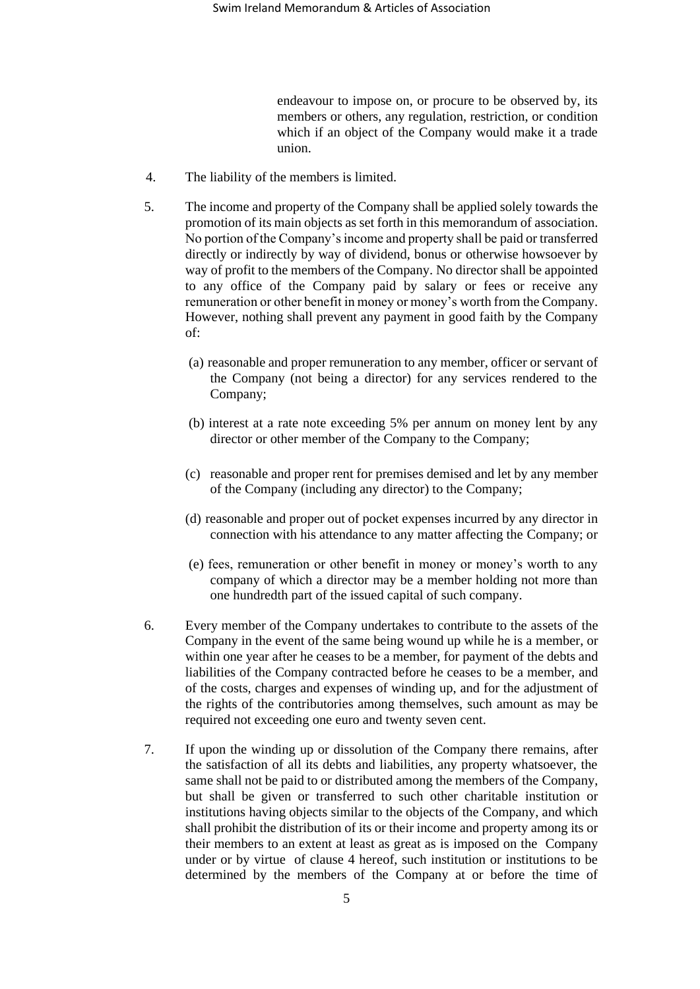endeavour to impose on, or procure to be observed by, its members or others, any regulation, restriction, or condition which if an object of the Company would make it a trade union.

- 4. The liability of the members is limited.
- <span id="page-4-0"></span>5. The income and property of the Company shall be applied solely towards the promotion of its main objects as set forth in this memorandum of association. No portion of the Company's income and property shall be paid or transferred directly or indirectly by way of dividend, bonus or otherwise howsoever by way of profit to the members of the Company. No director shall be appointed to any office of the Company paid by salary or fees or receive any remuneration or other benefit in money or money's worth from the Company. However, nothing shall prevent any payment in good faith by the Company of:
	- (a) reasonable and proper remuneration to any member, officer or servant of the Company (not being a director) for any services rendered to the Company;
	- (b) interest at a rate note exceeding 5% per annum on money lent by any director or other member of the Company to the Company;
	- (c) reasonable and proper rent for premises demised and let by any member of the Company (including any director) to the Company;
	- (d) reasonable and proper out of pocket expenses incurred by any director in connection with his attendance to any matter affecting the Company; or
	- (e) fees, remuneration or other benefit in money or money's worth to any company of which a director may be a member holding not more than one hundredth part of the issued capital of such company.
- <span id="page-4-2"></span>6. Every member of the Company undertakes to contribute to the assets of the Company in the event of the same being wound up while he is a member, or within one year after he ceases to be a member, for payment of the debts and liabilities of the Company contracted before he ceases to be a member, and of the costs, charges and expenses of winding up, and for the adjustment of the rights of the contributories among themselves, such amount as may be required not exceeding one euro and twenty seven cent.
- <span id="page-4-1"></span>7. If upon the winding up or dissolution of the Company there remains, after the satisfaction of all its debts and liabilities, any property whatsoever, the same shall not be paid to or distributed among the members of the Company, but shall be given or transferred to such other charitable institution or institutions having objects similar to the objects of the Company, and which shall prohibit the distribution of its or their income and property among its or their members to an extent at least as great as is imposed on the Company under or by virtue of clause 4 hereof, such institution or institutions to be determined by the members of the Company at or before the time of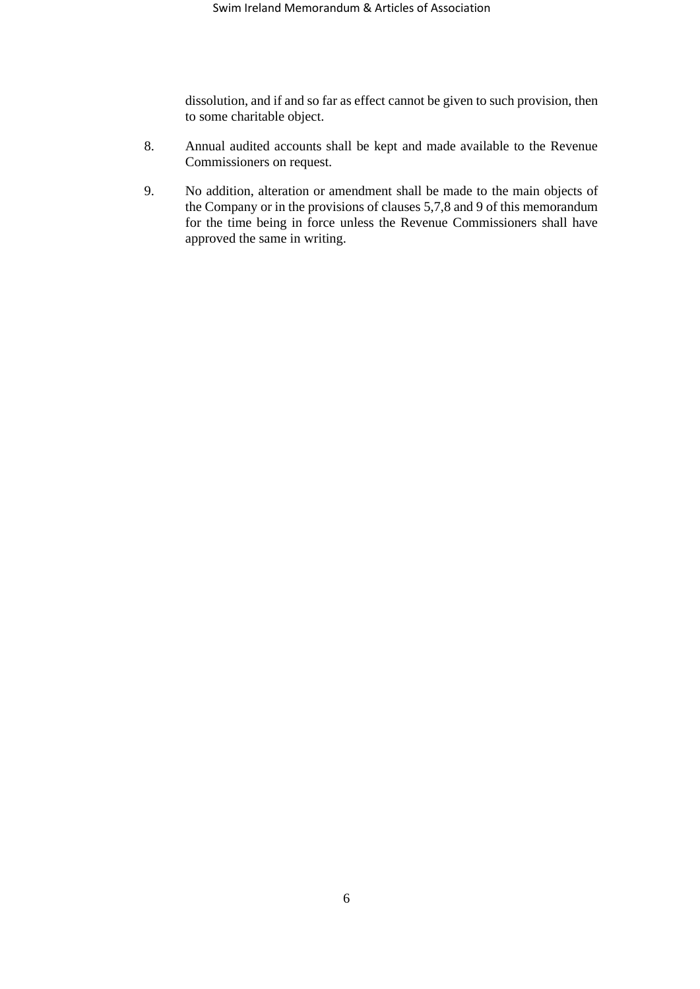dissolution, and if and so far as effect cannot be given to such provision, then to some charitable object.

- 8. Annual audited accounts shall be kept and made available to the Revenue Commissioners on request.
- 9. No addition, alteration or amendment shall be made to the main objects of the Company or in the provisions of clauses [5](#page-4-0)[,7](#page-4-1)[,8](#page-13-0) and [9](#page-13-1) of this memorandum for the time being in force unless the Revenue Commissioners shall have approved the same in writing.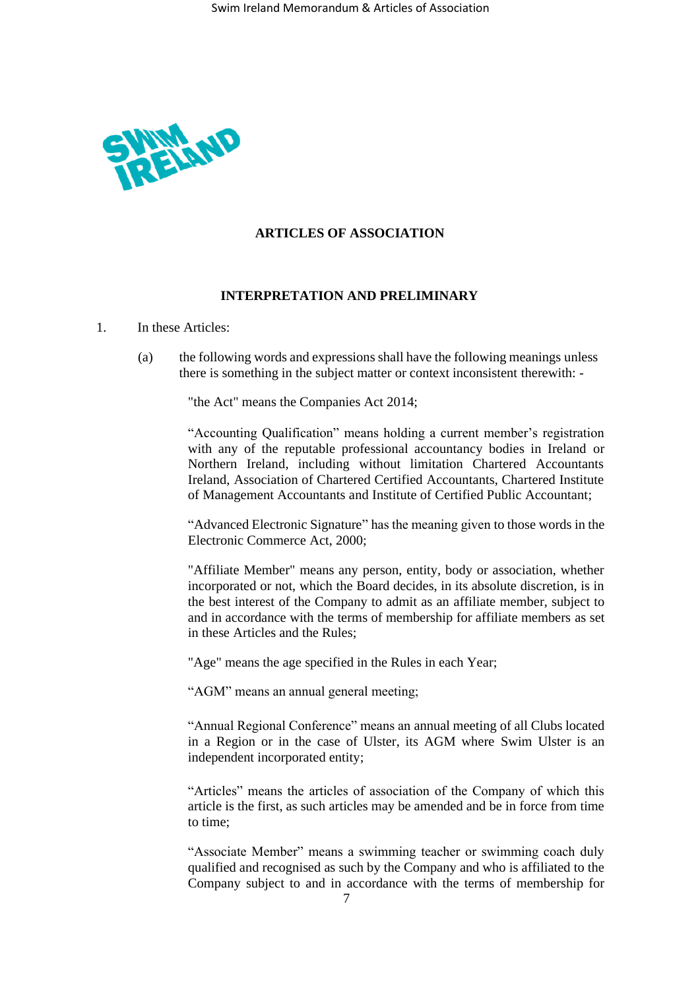

# **ARTICLES OF ASSOCIATION**

# **INTERPRETATION AND PRELIMINARY**

# 1. In these Articles:

(a) the following words and expressions shall have the following meanings unless there is something in the subject matter or context inconsistent therewith: -

"the Act" means the Companies Act 2014;

"Accounting Qualification" means holding a current member's registration with any of the reputable professional accountancy bodies in Ireland or Northern Ireland, including without limitation Chartered Accountants Ireland, Association of Chartered Certified Accountants, Chartered Institute of Management Accountants and Institute of Certified Public Accountant;

"Advanced Electronic Signature" has the meaning given to those words in the Electronic Commerce Act, 2000;

"Affiliate Member" means any person, entity, body or association, whether incorporated or not, which the Board decides, in its absolute discretion, is in the best interest of the Company to admit as an affiliate member, subject to and in accordance with the terms of membership for affiliate members as set in these Articles and the Rules;

"Age" means the age specified in the Rules in each Year;

"AGM" means an annual general meeting;

"Annual Regional Conference" means an annual meeting of all Clubs located in a Region or in the case of Ulster, its AGM where Swim Ulster is an independent incorporated entity;

"Articles" means the articles of association of the Company of which this article is the first, as such articles may be amended and be in force from time to time;

"Associate Member" means a swimming teacher or swimming coach duly qualified and recognised as such by the Company and who is affiliated to the Company subject to and in accordance with the terms of membership for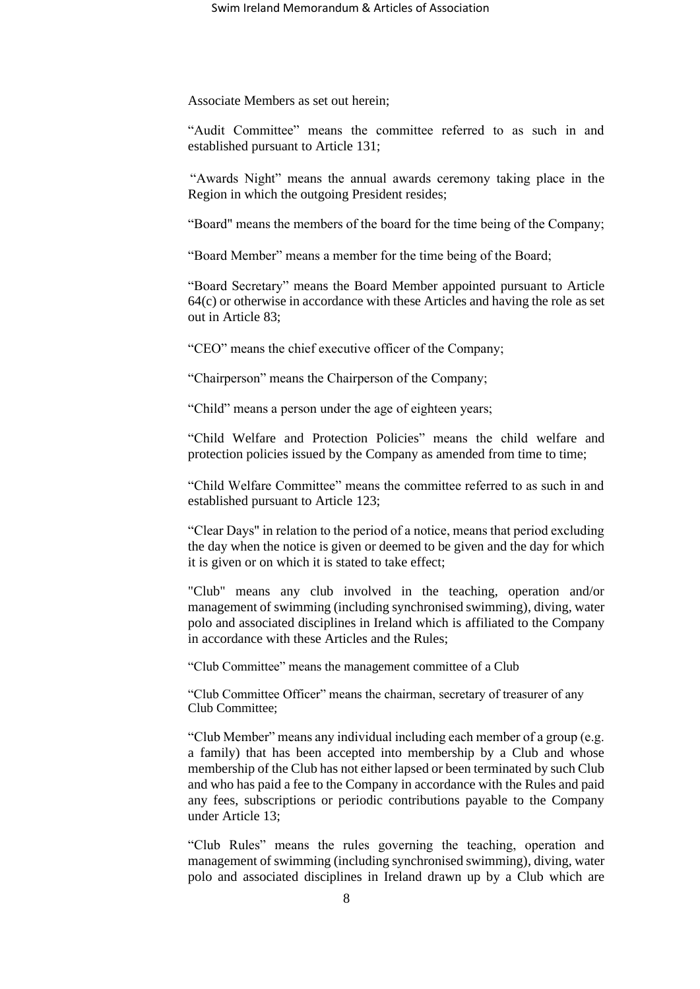Associate Members as set out herein;

"Audit Committee" means the committee referred to as such in and established pursuant to Article 131;

"Awards Night" means the annual awards ceremony taking place in the Region in which the outgoing President resides;

"Board" means the members of the board for the time being of the Company;

"Board Member" means a member for the time being of the Board;

"Board Secretary" means the Board Member appointed pursuant to Article [64\(c\)](#page-24-0) or otherwise in accordance with these Articles and having the role as set out in Article [83;](#page-27-0)

"CEO" means the chief executive officer of the Company;

"Chairperson" means the Chairperson of the Company;

"Child" means a person under the age of eighteen years;

"Child Welfare and Protection Policies" means the child welfare and protection policies issued by the Company as amended from time to time;

"Child Welfare Committee" means the committee referred to as such in and established pursuant to Article [123;](#page-36-0)

"Clear Days" in relation to the period of a notice, means that period excluding the day when the notice is given or deemed to be given and the day for which it is given or on which it is stated to take effect;

"Club" means any club involved in the teaching, operation and/or management of swimming (including synchronised swimming), diving, water polo and associated disciplines in Ireland which is affiliated to the Company in accordance with these Articles and the Rules;

"Club Committee" means the management committee of a Club

"Club Committee Officer" means the chairman, secretary of treasurer of any Club Committee;

"Club Member" means any individual including each member of a group (e.g. a family) that has been accepted into membership by a Club and whose membership of the Club has not either lapsed or been terminated by such Club and who has paid a fee to the Company in accordance with the Rules and paid any fees, subscriptions or periodic contributions payable to the Company under Article [13;](#page-14-0)

"Club Rules" means the rules governing the teaching, operation and management of swimming (including synchronised swimming), diving, water polo and associated disciplines in Ireland drawn up by a Club which are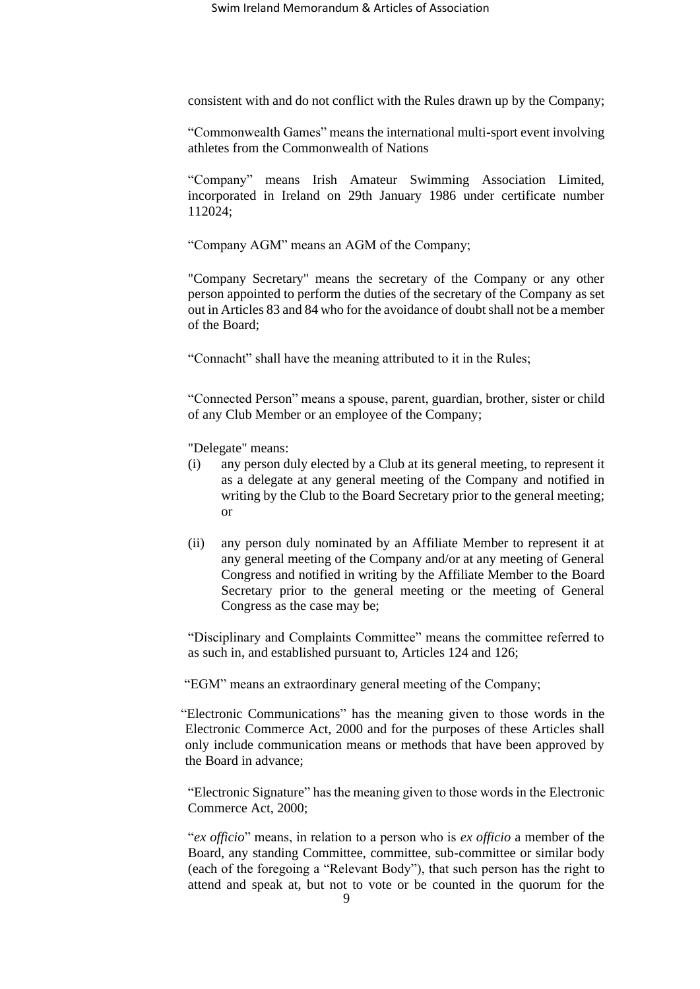consistent with and do not conflict with the Rules drawn up by the Company;

"Commonwealth Games" means the international multi-sport event involving athletes from the Commonwealth of Nations

"Company" means Irish Amateur Swimming Association Limited, incorporated in Ireland on 29th January 1986 under certificate number 112024;

"Company AGM" means an AGM of the Company;

"Company Secretary" means the secretary of the Company or any other person appointed to perform the duties of the secretary of the Company as set out in Articles 83 and 84 who for the avoidance of doubt shall not be a member of the Board;

"Connacht" shall have the meaning attributed to it in the Rules;

"Connected Person" means a spouse, parent, guardian, brother, sister or child of any Club Member or an employee of the Company;

"Delegate" means:

- (i) any person duly elected by a Club at its general meeting, to represent it as a delegate at any general meeting of the Company and notified in writing by the Club to the Board Secretary prior to the general meeting; or
- (ii) any person duly nominated by an Affiliate Member to represent it at any general meeting of the Company and/or at any meeting of General Congress and notified in writing by the Affiliate Member to the Board Secretary prior to the general meeting or the meeting of General Congress as the case may be;

"Disciplinary and Complaints Committee" means the committee referred to as such in, and established pursuant to, Articles 124 and [126;](#page-36-1)

"EGM" means an extraordinary general meeting of the Company;

"Electronic Communications" has the meaning given to those words in the Electronic Commerce Act, 2000 and for the purposes of these Articles shall only include communication means or methods that have been approved by the Board in advance;

"Electronic Signature" has the meaning given to those words in the Electronic Commerce Act, 2000;

"*ex officio*" means, in relation to a person who is *ex officio* a member of the Board, any standing Committee, committee, sub-committee or similar body (each of the foregoing a "Relevant Body"), that such person has the right to attend and speak at, but not to vote or be counted in the quorum for the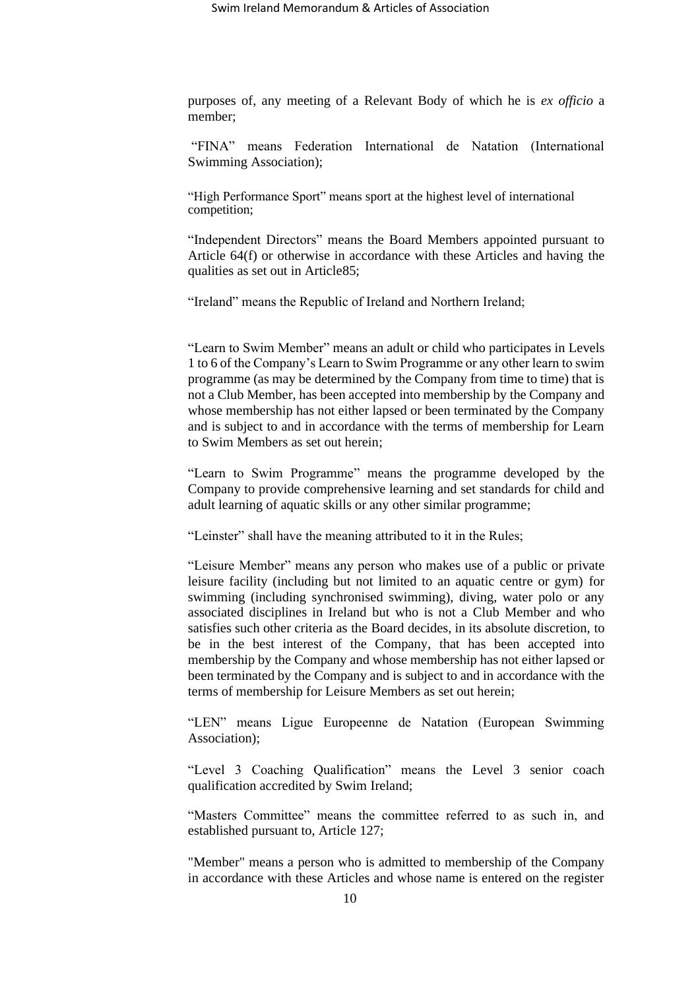purposes of, any meeting of a Relevant Body of which he is *ex officio* a member;

"FINA" means Federation International de Natation (International Swimming Association);

"High Performance Sport" means sport at the highest level of international competition;

"Independent Directors" means the Board Members appointed pursuant to Article [64\(f\)](#page-24-1) or otherwise in accordance with these Articles and having the qualities as set out in Article85;

"Ireland" means the Republic of Ireland and Northern Ireland;

"Learn to Swim Member" means an adult or child who participates in Levels 1 to 6 of the Company's Learn to Swim Programme or any other learn to swim programme (as may be determined by the Company from time to time) that is not a Club Member, has been accepted into membership by the Company and whose membership has not either lapsed or been terminated by the Company and is subject to and in accordance with the terms of membership for Learn to Swim Members as set out herein;

"Learn to Swim Programme" means the programme developed by the Company to provide comprehensive learning and set standards for child and adult learning of aquatic skills or any other similar programme;

"Leinster" shall have the meaning attributed to it in the Rules;

"Leisure Member" means any person who makes use of a public or private leisure facility (including but not limited to an aquatic centre or gym) for swimming (including synchronised swimming), diving, water polo or any associated disciplines in Ireland but who is not a Club Member and who satisfies such other criteria as the Board decides, in its absolute discretion, to be in the best interest of the Company, that has been accepted into membership by the Company and whose membership has not either lapsed or been terminated by the Company and is subject to and in accordance with the terms of membership for Leisure Members as set out herein;

"LEN" means Ligue Europeenne de Natation (European Swimming Association);

"Level 3 Coaching Qualification" means the Level 3 senior coach qualification accredited by Swim Ireland;

"Masters Committee" means the committee referred to as such in, and established pursuant to, Article [127;](#page-37-0)

"Member" means a person who is admitted to membership of the Company in accordance with these Articles and whose name is entered on the register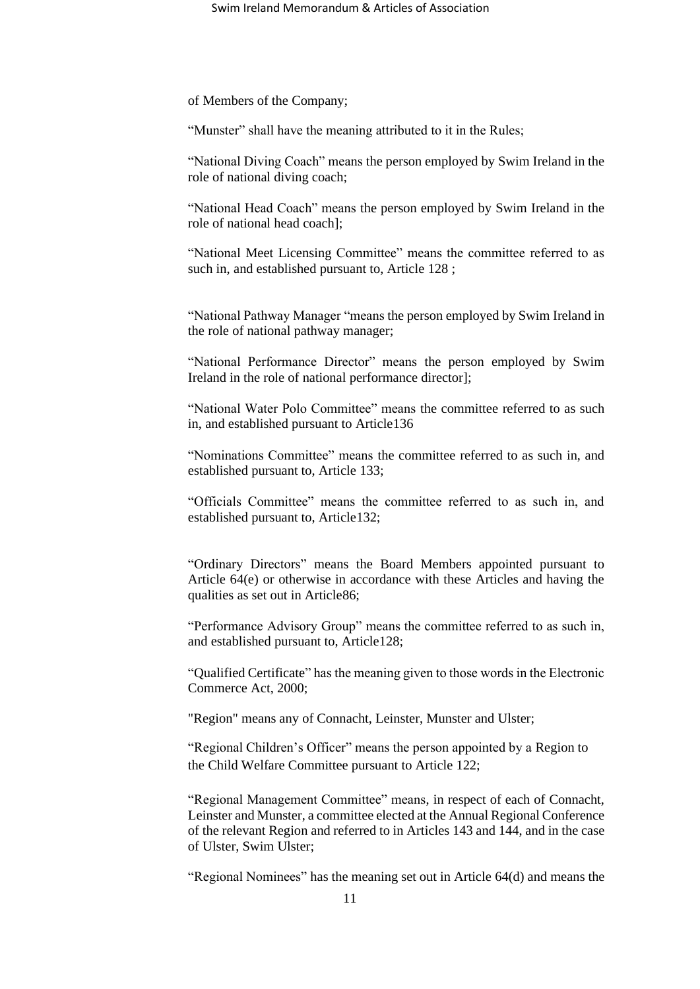of Members of the Company;

"Munster" shall have the meaning attributed to it in the Rules;

"National Diving Coach" means the person employed by Swim Ireland in the role of national diving coach;

"National Head Coach" means the person employed by Swim Ireland in the role of national head coach];

"National Meet Licensing Committee" means the committee referred to as such in, and established pursuant to, Article [128](#page-37-1) ;

"National Pathway Manager "means the person employed by Swim Ireland in the role of national pathway manager;

"National Performance Director" means the person employed by Swim Ireland in the role of national performance director];

"National Water Polo Committee" means the committee referred to as such in, and established pursuant to Article136

"Nominations Committee" means the committee referred to as such in, and established pursuant to, Article 133;

"Officials Committee" means the committee referred to as such in, and established pursuant to, Article132;

"Ordinary Directors" means the Board Members appointed pursuant to Article [64\(e\)](#page-24-2) or otherwise in accordance with these Articles and having the qualities as set out in Article86;

"Performance Advisory Group" means the committee referred to as such in, and established pursuant to, Article128;

"Qualified Certificate" has the meaning given to those words in the Electronic Commerce Act, 2000;

"Region" means any of Connacht, Leinster, Munster and Ulster;

"Regional Children's Officer" means the person appointed by a Region to the Child Welfare Committee pursuant to Article 122;

"Regional Management Committee" means, in respect of each of Connacht, Leinster and Munster, a committee elected at the Annual Regional Conference of the relevant Region and referred to in Articles 143 and 144, and in the case of Ulster, Swim Ulster;

"Regional Nominees" has the meaning set out in Article [64\(d\)](#page-24-3) and means the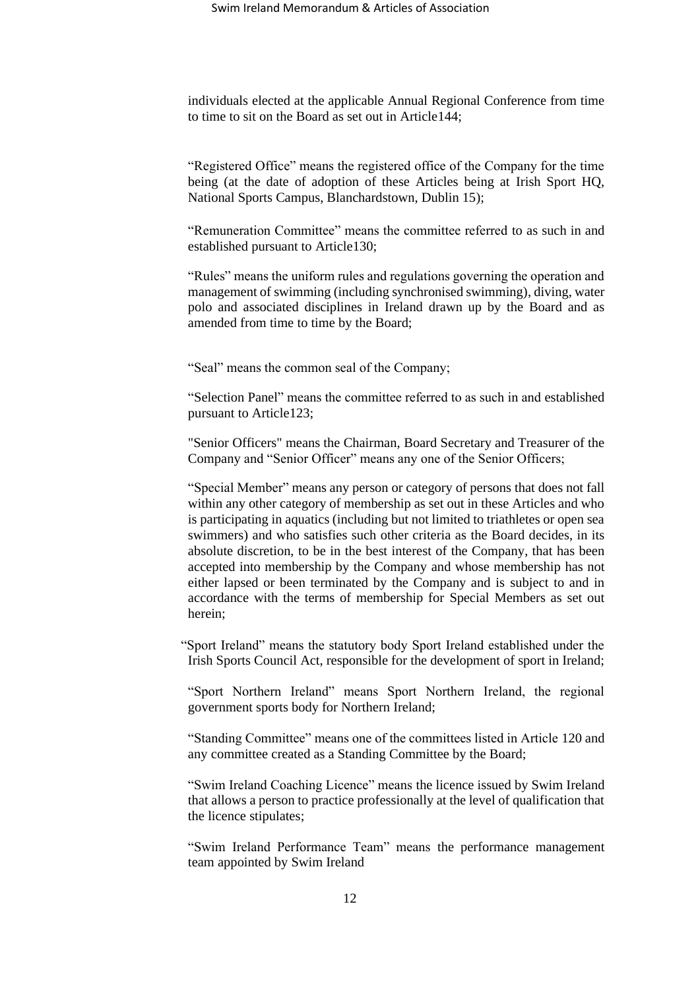individuals elected at the applicable Annual Regional Conference from time to time to sit on the Board as set out in Article144;

"Registered Office" means the registered office of the Company for the time being (at the date of adoption of these Articles being at Irish Sport HQ, National Sports Campus, Blanchardstown, Dublin 15);

"Remuneration Committee" means the committee referred to as such in and established pursuant to Article130;

"Rules" means the uniform rules and regulations governing the operation and management of swimming (including synchronised swimming), diving, water polo and associated disciplines in Ireland drawn up by the Board and as amended from time to time by the Board;

"Seal" means the common seal of the Company;

"Selection Panel" means the committee referred to as such in and established pursuant to Article123;

"Senior Officers" means the Chairman, Board Secretary and Treasurer of the Company and "Senior Officer" means any one of the Senior Officers;

"Special Member" means any person or category of persons that does not fall within any other category of membership as set out in these Articles and who is participating in aquatics (including but not limited to triathletes or open sea swimmers) and who satisfies such other criteria as the Board decides, in its absolute discretion, to be in the best interest of the Company, that has been accepted into membership by the Company and whose membership has not either lapsed or been terminated by the Company and is subject to and in accordance with the terms of membership for Special Members as set out herein;

"Sport Ireland" means the statutory body Sport Ireland established under the Irish Sports Council Act, responsible for the development of sport in Ireland;

"Sport Northern Ireland" means Sport Northern Ireland, the regional government sports body for Northern Ireland;

"Standing Committee" means one of the committees listed in Article [120](#page-35-0) and any committee created as a Standing Committee by the Board;

"Swim Ireland Coaching Licence" means the licence issued by Swim Ireland that allows a person to practice professionally at the level of qualification that the licence stipulates;

"Swim Ireland Performance Team" means the performance management team appointed by Swim Ireland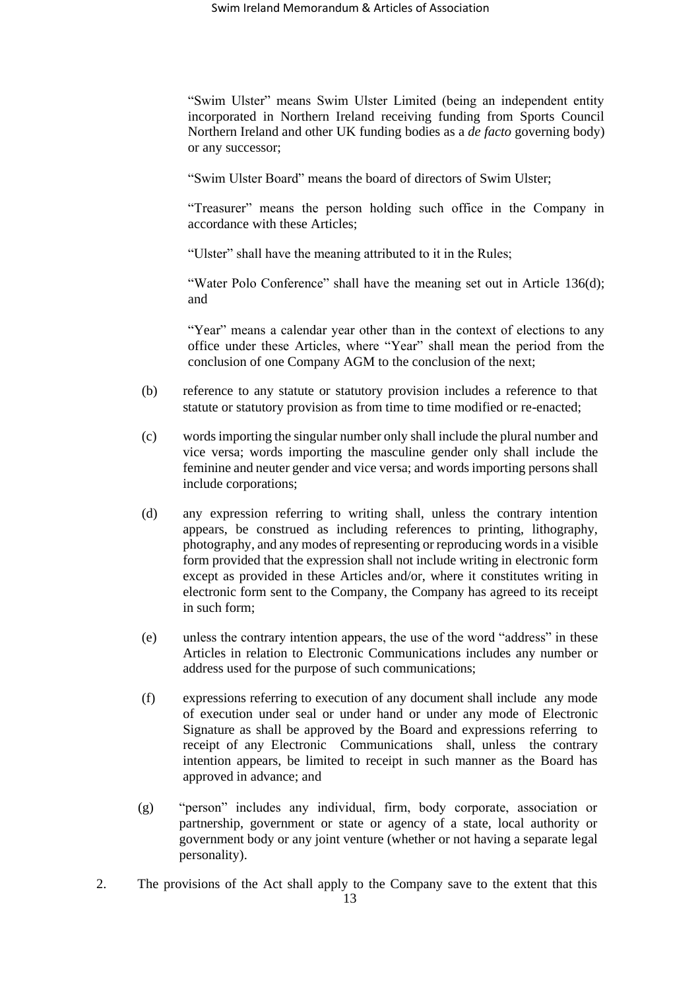"Swim Ulster" means Swim Ulster Limited (being an independent entity incorporated in Northern Ireland receiving funding from Sports Council Northern Ireland and other UK funding bodies as a *de facto* governing body) or any successor;

"Swim Ulster Board" means the board of directors of Swim Ulster;

"Treasurer" means the person holding such office in the Company in accordance with these Articles;

"Ulster" shall have the meaning attributed to it in the Rules;

"Water Polo Conference" shall have the meaning set out in Article [136\(d\);](#page-40-0) and

"Year" means a calendar year other than in the context of elections to any office under these Articles, where "Year" shall mean the period from the conclusion of one Company AGM to the conclusion of the next;

- (b) reference to any statute or statutory provision includes a reference to that statute or statutory provision as from time to time modified or re-enacted;
- (c) words importing the singular number only shall include the plural number and vice versa; words importing the masculine gender only shall include the feminine and neuter gender and vice versa; and words importing persons shall include corporations;
- (d) any expression referring to writing shall, unless the contrary intention appears, be construed as including references to printing, lithography, photography, and any modes of representing or reproducing words in a visible form provided that the expression shall not include writing in electronic form except as provided in these Articles and/or, where it constitutes writing in electronic form sent to the Company, the Company has agreed to its receipt in such form;
- (e) unless the contrary intention appears, the use of the word "address" in these Articles in relation to Electronic Communications includes any number or address used for the purpose of such communications;
- (f) expressions referring to execution of any document shall include any mode of execution under seal or under hand or under any mode of Electronic Signature as shall be approved by the Board and expressions referring to receipt of any Electronic Communications shall, unless the contrary intention appears, be limited to receipt in such manner as the Board has approved in advance; and
- (g) "person" includes any individual, firm, body corporate, association or partnership, government or state or agency of a state, local authority or government body or any joint venture (whether or not having a separate legal personality).
- 2. The provisions of the Act shall apply to the Company save to the extent that this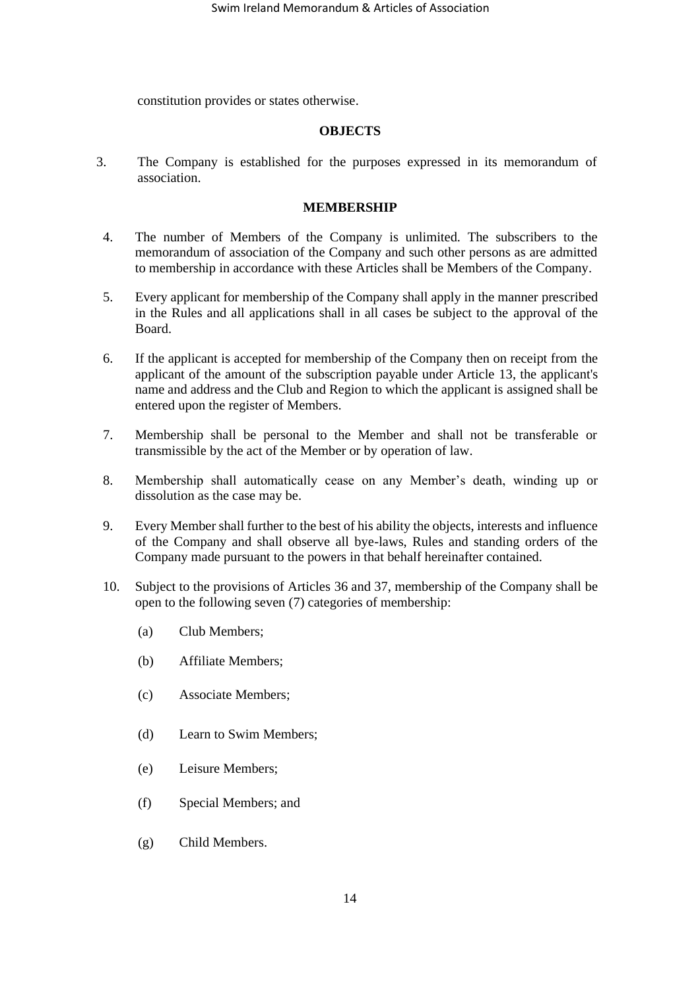constitution provides or states otherwise.

#### **OBJECTS**

3. The Company is established for the purposes expressed in its memorandum of association.

#### **MEMBERSHIP**

- 4. The number of Members of the Company is unlimited. The subscribers to the memorandum of association of the Company and such other persons as are admitted to membership in accordance with these Articles shall be Members of the Company.
- 5. Every applicant for membership of the Company shall apply in the manner prescribed in the Rules and all applications shall in all cases be subject to the approval of the Board.
- 6. If the applicant is accepted for membership of the Company then on receipt from the applicant of the amount of the subscription payable under Article [13,](#page-14-0) the applicant's name and address and the Club and Region to which the applicant is assigned shall be entered upon the register of Members.
- 7. Membership shall be personal to the Member and shall not be transferable or transmissible by the act of the Member or by operation of law.
- <span id="page-13-0"></span>8. Membership shall automatically cease on any Member's death, winding up or dissolution as the case may be.
- <span id="page-13-1"></span>9. Every Member shall further to the best of his ability the objects, interests and influence of the Company and shall observe all bye-laws, Rules and standing orders of the Company made pursuant to the powers in that behalf hereinafter contained.
- 10. Subject to the provisions of Articles [36](#page-19-0) and [37,](#page-19-1) membership of the Company shall be open to the following seven (7) categories of membership:
	- (a) Club Members;
	- (b) Affiliate Members;
	- (c) Associate Members;
	- (d) Learn to Swim Members;
	- (e) Leisure Members;
	- (f) Special Members; and
	- (g) Child Members.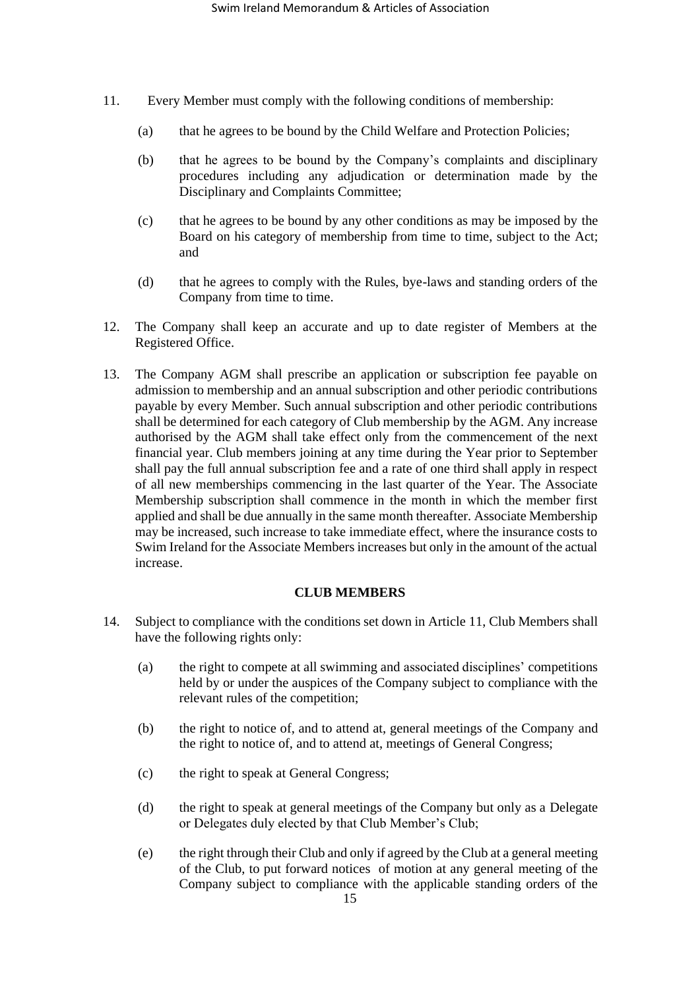- <span id="page-14-1"></span>11. Every Member must comply with the following conditions of membership:
	- (a) that he agrees to be bound by the Child Welfare and Protection Policies;
	- (b) that he agrees to be bound by the Company's complaints and disciplinary procedures including any adjudication or determination made by the Disciplinary and Complaints Committee;
	- (c) that he agrees to be bound by any other conditions as may be imposed by the Board on his category of membership from time to time, subject to the Act; and
	- (d) that he agrees to comply with the Rules, bye-laws and standing orders of the Company from time to time.
- 12. The Company shall keep an accurate and up to date register of Members at the Registered Office.
- <span id="page-14-0"></span>13. The Company AGM shall prescribe an application or subscription fee payable on admission to membership and an annual subscription and other periodic contributions payable by every Member. Such annual subscription and other periodic contributions shall be determined for each category of Club membership by the AGM. Any increase authorised by the AGM shall take effect only from the commencement of the next financial year. Club members joining at any time during the Year prior to September shall pay the full annual subscription fee and a rate of one third shall apply in respect of all new memberships commencing in the last quarter of the Year. The Associate Membership subscription shall commence in the month in which the member first applied and shall be due annually in the same month thereafter. Associate Membership may be increased, such increase to take immediate effect, where the insurance costs to Swim Ireland for the Associate Members increases but only in the amount of the actual increase.

## **CLUB MEMBERS**

- <span id="page-14-2"></span>14. Subject to compliance with the conditions set down in Article [11,](#page-14-1) Club Members shall have the following rights only:
	- (a) the right to compete at all swimming and associated disciplines' competitions held by or under the auspices of the Company subject to compliance with the relevant rules of the competition;
	- (b) the right to notice of, and to attend at, general meetings of the Company and the right to notice of, and to attend at, meetings of General Congress;
	- (c) the right to speak at General Congress;
	- (d) the right to speak at general meetings of the Company but only as a Delegate or Delegates duly elected by that Club Member's Club;
	- (e) the right through their Club and only if agreed by the Club at a general meeting of the Club, to put forward notices of motion at any general meeting of the Company subject to compliance with the applicable standing orders of the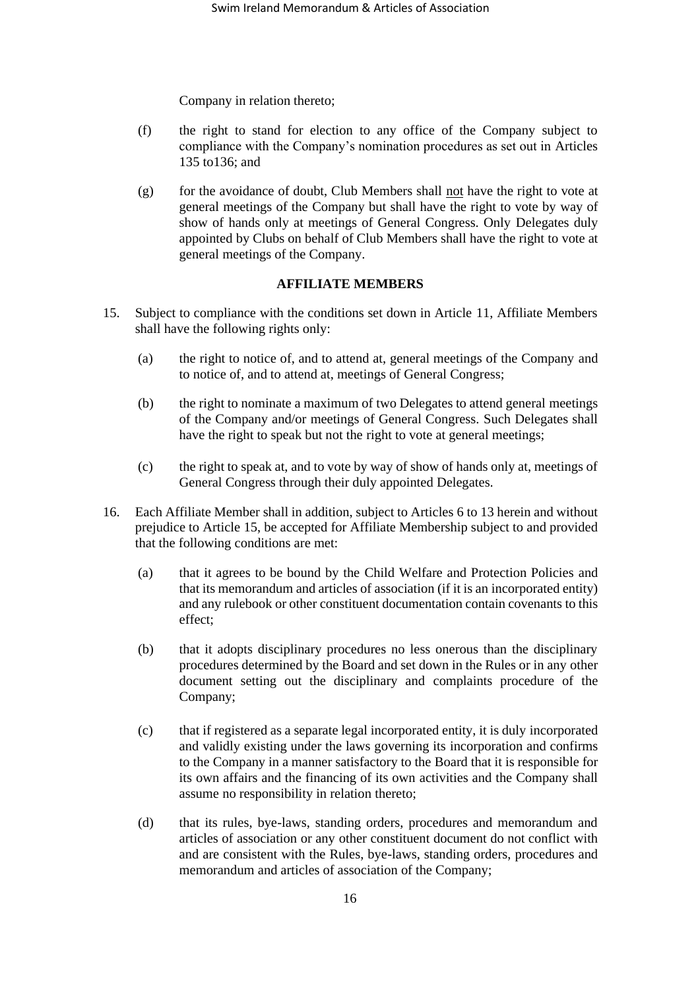Company in relation thereto;

- (f) the right to stand for election to any office of the Company subject to compliance with the Company's nomination procedures as set out in Articles 135 to136; and
- (g) for the avoidance of doubt, Club Members shall not have the right to vote at general meetings of the Company but shall have the right to vote by way of show of hands only at meetings of General Congress. Only Delegates duly appointed by Clubs on behalf of Club Members shall have the right to vote at general meetings of the Company.

## **AFFILIATE MEMBERS**

- <span id="page-15-1"></span><span id="page-15-0"></span>15. Subject to compliance with the conditions set down in Article [11,](#page-14-1) Affiliate Members shall have the following rights only:
	- (a) the right to notice of, and to attend at, general meetings of the Company and to notice of, and to attend at, meetings of General Congress;
	- (b) the right to nominate a maximum of two Delegates to attend general meetings of the Company and/or meetings of General Congress. Such Delegates shall have the right to speak but not the right to vote at general meetings;
	- (c) the right to speak at, and to vote by way of show of hands only at, meetings of General Congress through their duly appointed Delegates.
- 16. Each Affiliate Member shall in addition, subject to Articles [6](#page-4-2) t[o 13](#page-14-0) herein and without prejudice to Article [15,](#page-15-0) be accepted for Affiliate Membership subject to and provided that the following conditions are met:
	- (a) that it agrees to be bound by the Child Welfare and Protection Policies and that its memorandum and articles of association (if it is an incorporated entity) and any rulebook or other constituent documentation contain covenants to this effect;
	- (b) that it adopts disciplinary procedures no less onerous than the disciplinary procedures determined by the Board and set down in the Rules or in any other document setting out the disciplinary and complaints procedure of the Company;
	- (c) that if registered as a separate legal incorporated entity, it is duly incorporated and validly existing under the laws governing its incorporation and confirms to the Company in a manner satisfactory to the Board that it is responsible for its own affairs and the financing of its own activities and the Company shall assume no responsibility in relation thereto;
	- (d) that its rules, bye-laws, standing orders, procedures and memorandum and articles of association or any other constituent document do not conflict with and are consistent with the Rules, bye-laws, standing orders, procedures and memorandum and articles of association of the Company;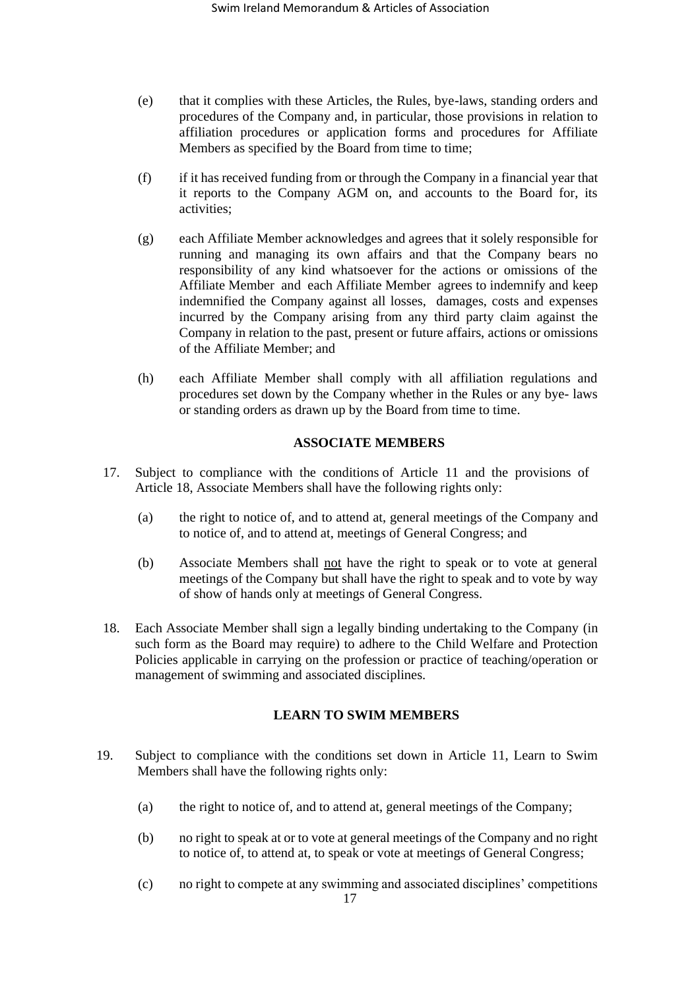- (e) that it complies with these Articles, the Rules, bye-laws, standing orders and procedures of the Company and, in particular, those provisions in relation to affiliation procedures or application forms and procedures for Affiliate Members as specified by the Board from time to time;
- (f) if it has received funding from or through the Company in a financial year that it reports to the Company AGM on, and accounts to the Board for, its activities;
- (g) each Affiliate Member acknowledges and agrees that it solely responsible for running and managing its own affairs and that the Company bears no responsibility of any kind whatsoever for the actions or omissions of the Affiliate Member and each Affiliate Member agrees to indemnify and keep indemnified the Company against all losses, damages, costs and expenses incurred by the Company arising from any third party claim against the Company in relation to the past, present or future affairs, actions or omissions of the Affiliate Member; and
- (h) each Affiliate Member shall comply with all affiliation regulations and procedures set down by the Company whether in the Rules or any bye- laws or standing orders as drawn up by the Board from time to time.

# **ASSOCIATE MEMBERS**

- <span id="page-16-1"></span>17. Subject to compliance with the conditions of Article [11](#page-14-1) and the provisions of Article [18,](#page-16-0) Associate Members shall have the following rights only:
	- (a) the right to notice of, and to attend at, general meetings of the Company and to notice of, and to attend at, meetings of General Congress; and
	- (b) Associate Members shall not have the right to speak or to vote at general meetings of the Company but shall have the right to speak and to vote by way of show of hands only at meetings of General Congress.
- <span id="page-16-0"></span>18. Each Associate Member shall sign a legally binding undertaking to the Company (in such form as the Board may require) to adhere to the Child Welfare and Protection Policies applicable in carrying on the profession or practice of teaching/operation or management of swimming and associated disciplines.

## **LEARN TO SWIM MEMBERS**

- 19. Subject to compliance with the conditions set down in Article [11,](#page-14-1) Learn to Swim Members shall have the following rights only:
	- (a) the right to notice of, and to attend at, general meetings of the Company;
	- (b) no right to speak at or to vote at general meetings of the Company and no right to notice of, to attend at, to speak or vote at meetings of General Congress;
	- (c) no right to compete at any swimming and associated disciplines' competitions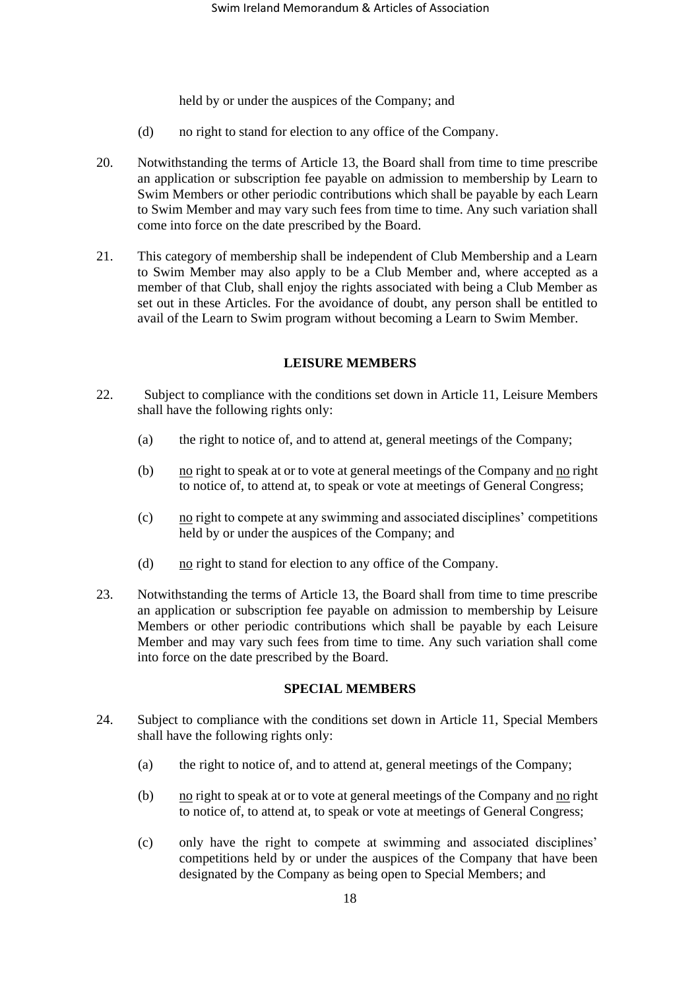held by or under the auspices of the Company; and

- (d) no right to stand for election to any office of the Company.
- 20. Notwithstanding the terms of Article [13,](#page-14-0) the Board shall from time to time prescribe an application or subscription fee payable on admission to membership by Learn to Swim Members or other periodic contributions which shall be payable by each Learn to Swim Member and may vary such fees from time to time. Any such variation shall come into force on the date prescribed by the Board.
- 21. This category of membership shall be independent of Club Membership and a Learn to Swim Member may also apply to be a Club Member and, where accepted as a member of that Club, shall enjoy the rights associated with being a Club Member as set out in these Articles. For the avoidance of doubt, any person shall be entitled to avail of the Learn to Swim program without becoming a Learn to Swim Member.

#### **LEISURE MEMBERS**

- 22. Subject to compliance with the conditions set down in Article 11, Leisure Members shall have the following rights only:
	- (a) the right to notice of, and to attend at, general meetings of the Company;
	- (b) no right to speak at or to vote at general meetings of the Company and no right to notice of, to attend at, to speak or vote at meetings of General Congress;
	- $(c)$  no right to compete at any swimming and associated disciplines' competitions held by or under the auspices of the Company; and
	- (d)  $\frac{no}{10}$  right to stand for election to any office of the Company.
- 23. Notwithstanding the terms of Article [13,](#page-14-0) the Board shall from time to time prescribe an application or subscription fee payable on admission to membership by Leisure Members or other periodic contributions which shall be payable by each Leisure Member and may vary such fees from time to time. Any such variation shall come into force on the date prescribed by the Board.

#### **SPECIAL MEMBERS**

- 24. Subject to compliance with the conditions set down in Article 11, Special Members shall have the following rights only:
	- (a) the right to notice of, and to attend at, general meetings of the Company;
	- (b) no right to speak at or to vote at general meetings of the Company and  $\underline{\text{no}}$  right to notice of, to attend at, to speak or vote at meetings of General Congress;
	- (c) only have the right to compete at swimming and associated disciplines' competitions held by or under the auspices of the Company that have been designated by the Company as being open to Special Members; and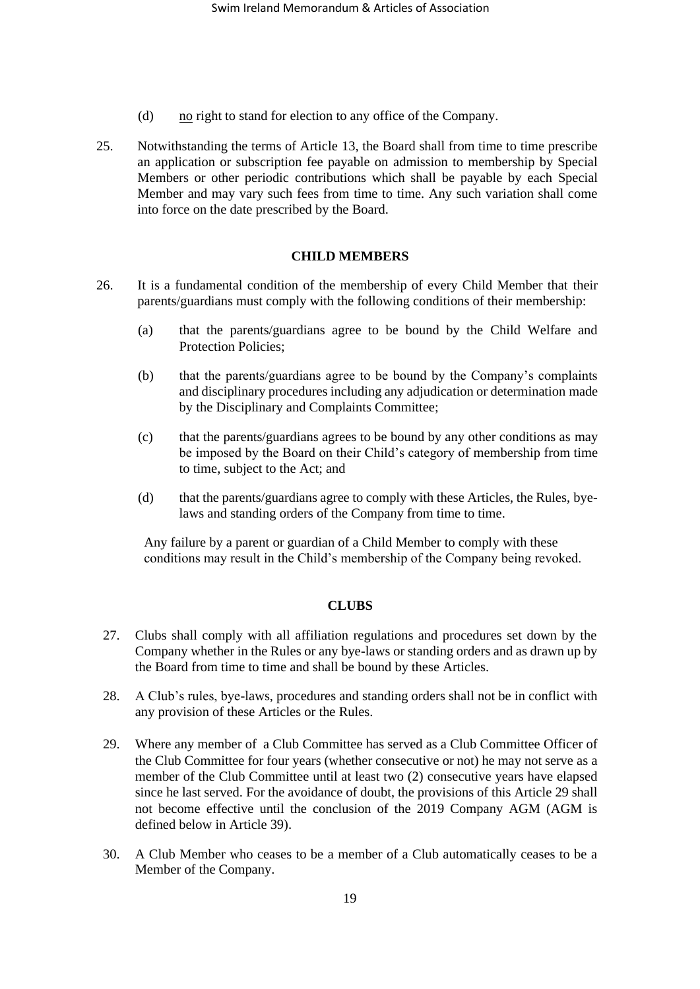- (d)  $\frac{no}{10}$  right to stand for election to any office of the Company.
- 25. Notwithstanding the terms of Article [13,](#page-14-0) the Board shall from time to time prescribe an application or subscription fee payable on admission to membership by Special Members or other periodic contributions which shall be payable by each Special Member and may vary such fees from time to time. Any such variation shall come into force on the date prescribed by the Board.

#### **CHILD MEMBERS**

- 26. It is a fundamental condition of the membership of every Child Member that their parents/guardians must comply with the following conditions of their membership:
	- (a) that the parents/guardians agree to be bound by the Child Welfare and Protection Policies;
	- (b) that the parents/guardians agree to be bound by the Company's complaints and disciplinary procedures including any adjudication or determination made by the Disciplinary and Complaints Committee;
	- (c) that the parents/guardians agrees to be bound by any other conditions as may be imposed by the Board on their Child's category of membership from time to time, subject to the Act; and
	- (d) that the parents/guardians agree to comply with these Articles, the Rules, byelaws and standing orders of the Company from time to time.

Any failure by a parent or guardian of a Child Member to comply with these conditions may result in the Child's membership of the Company being revoked.

#### **CLUBS**

- 27. Clubs shall comply with all affiliation regulations and procedures set down by the Company whether in the Rules or any bye-laws or standing orders and as drawn up by the Board from time to time and shall be bound by these Articles.
- 28. A Club's rules, bye-laws, procedures and standing orders shall not be in conflict with any provision of these Articles or the Rules.
- <span id="page-18-0"></span>29. Where any member of a Club Committee has served as a Club Committee Officer of the Club Committee for four years (whether consecutive or not) he may not serve as a member of the Club Committee until at least two (2) consecutive years have elapsed since he last served. For the avoidance of doubt, the provisions of this Article [29](#page-18-0) shall not become effective until the conclusion of the 2019 Company AGM (AGM is defined below in Article [39\)](#page-20-0).
- 30. A Club Member who ceases to be a member of a Club automatically ceases to be a Member of the Company.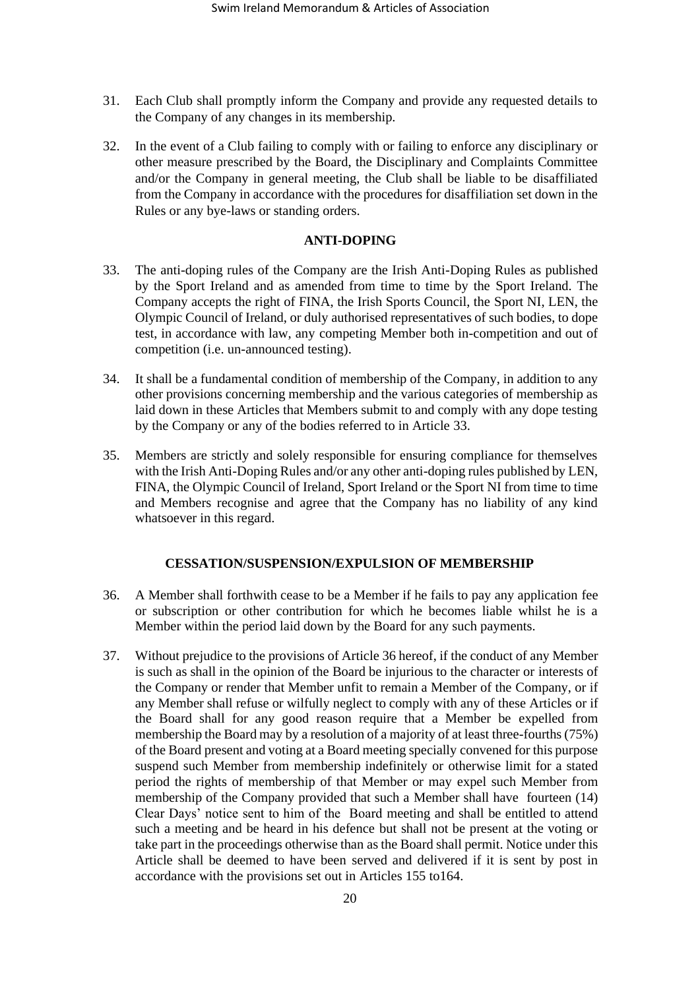- 31. Each Club shall promptly inform the Company and provide any requested details to the Company of any changes in its membership.
- 32. In the event of a Club failing to comply with or failing to enforce any disciplinary or other measure prescribed by the Board, the Disciplinary and Complaints Committee and/or the Company in general meeting, the Club shall be liable to be disaffiliated from the Company in accordance with the procedures for disaffiliation set down in the Rules or any bye-laws or standing orders.

#### **ANTI-DOPING**

- <span id="page-19-2"></span>33. The anti-doping rules of the Company are the Irish Anti-Doping Rules as published by the Sport Ireland and as amended from time to time by the Sport Ireland. The Company accepts the right of FINA, the Irish Sports Council, the Sport NI, LEN, the Olympic Council of Ireland, or duly authorised representatives of such bodies, to dope test, in accordance with law, any competing Member both in-competition and out of competition (i.e. un-announced testing).
- 34. It shall be a fundamental condition of membership of the Company, in addition to any other provisions concerning membership and the various categories of membership as laid down in these Articles that Members submit to and comply with any dope testing by the Company or any of the bodies referred to in Article [33.](#page-19-2)
- 35. Members are strictly and solely responsible for ensuring compliance for themselves with the Irish Anti-Doping Rules and/or any other anti-doping rules published by LEN, FINA, the Olympic Council of Ireland, Sport Ireland or the Sport NI from time to time and Members recognise and agree that the Company has no liability of any kind whatsoever in this regard.

#### **CESSATION/SUSPENSION/EXPULSION OF MEMBERSHIP**

- <span id="page-19-0"></span>36. A Member shall forthwith cease to be a Member if he fails to pay any application fee or subscription or other contribution for which he becomes liable whilst he is a Member within the period laid down by the Board for any such payments.
- <span id="page-19-1"></span>37. Without prejudice to the provisions of Article [36](#page-19-0) hereof, if the conduct of any Member is such as shall in the opinion of the Board be injurious to the character or interests of the Company or render that Member unfit to remain a Member of the Company, or if any Member shall refuse or wilfully neglect to comply with any of these Articles or if the Board shall for any good reason require that a Member be expelled from membership the Board may by a resolution of a majority of at least three-fourths (75%) of the Board present and voting at a Board meeting specially convened for this purpose suspend such Member from membership indefinitely or otherwise limit for a stated period the rights of membership of that Member or may expel such Member from membership of the Company provided that such a Member shall have fourteen (14) Clear Days' notice sent to him of the Board meeting and shall be entitled to attend such a meeting and be heard in his defence but shall not be present at the voting or take part in the proceedings otherwise than as the Board shall permit. Notice under this Article shall be deemed to have been served and delivered if it is sent by post in accordance with the provisions set out in Articles [155](#page-45-0) to164.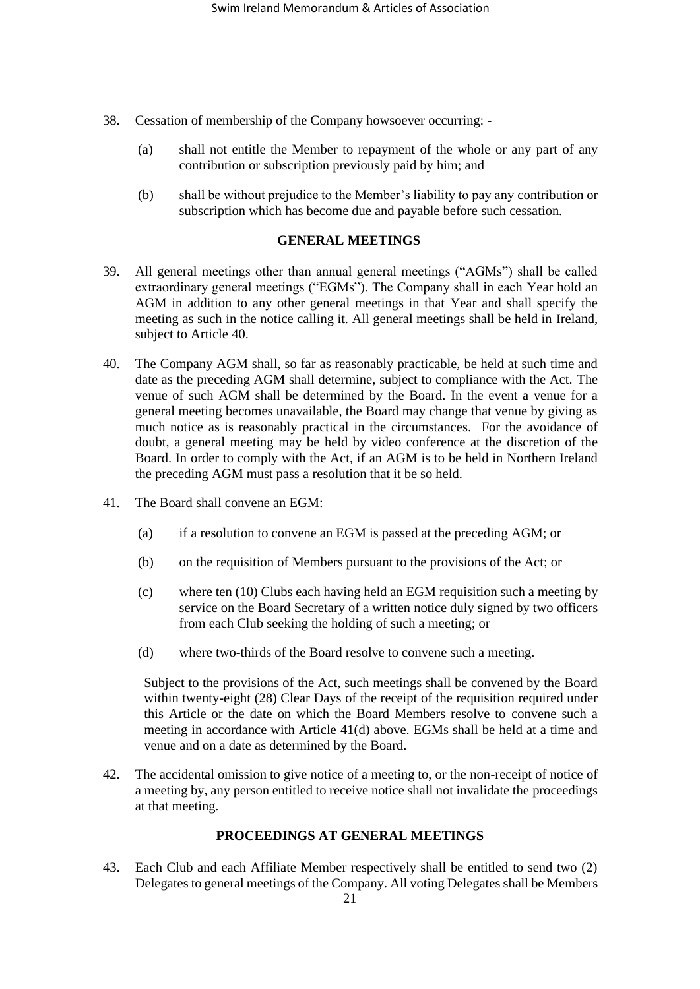- 38. Cessation of membership of the Company howsoever occurring:
	- (a) shall not entitle the Member to repayment of the whole or any part of any contribution or subscription previously paid by him; and
	- (b) shall be without prejudice to the Member's liability to pay any contribution or subscription which has become due and payable before such cessation.

# **GENERAL MEETINGS**

- <span id="page-20-0"></span>39. All general meetings other than annual general meetings ("AGMs") shall be called extraordinary general meetings ("EGMs"). The Company shall in each Year hold an AGM in addition to any other general meetings in that Year and shall specify the meeting as such in the notice calling it. All general meetings shall be held in Ireland, subject to Article [40.](#page-20-1)
- <span id="page-20-1"></span>40. The Company AGM shall, so far as reasonably practicable, be held at such time and date as the preceding AGM shall determine, subject to compliance with the Act. The venue of such AGM shall be determined by the Board. In the event a venue for a general meeting becomes unavailable, the Board may change that venue by giving as much notice as is reasonably practical in the circumstances. For the avoidance of doubt, a general meeting may be held by video conference at the discretion of the Board. In order to comply with the Act, if an AGM is to be held in Northern Ireland the preceding AGM must pass a resolution that it be so held.
- <span id="page-20-2"></span>41. The Board shall convene an EGM:
	- (a) if a resolution to convene an EGM is passed at the preceding AGM; or
	- (b) on the requisition of Members pursuant to the provisions of the Act; or
	- (c) where ten (10) Clubs each having held an EGM requisition such a meeting by service on the Board Secretary of a written notice duly signed by two officers from each Club seeking the holding of such a meeting; or
	- (d) where two-thirds of the Board resolve to convene such a meeting.

Subject to the provisions of the Act, such meetings shall be convened by the Board within twenty-eight (28) Clear Days of the receipt of the requisition required under this Article or the date on which the Board Members resolve to convene such a meeting in accordance with Article [41\(](#page-20-2)d) above. EGMs shall be held at a time and venue and on a date as determined by the Board.

42. The accidental omission to give notice of a meeting to, or the non-receipt of notice of a meeting by, any person entitled to receive notice shall not invalidate the proceedings at that meeting.

## **PROCEEDINGS AT GENERAL MEETINGS**

43. Each Club and each Affiliate Member respectively shall be entitled to send two (2) Delegates to general meetings of the Company. All voting Delegates shall be Members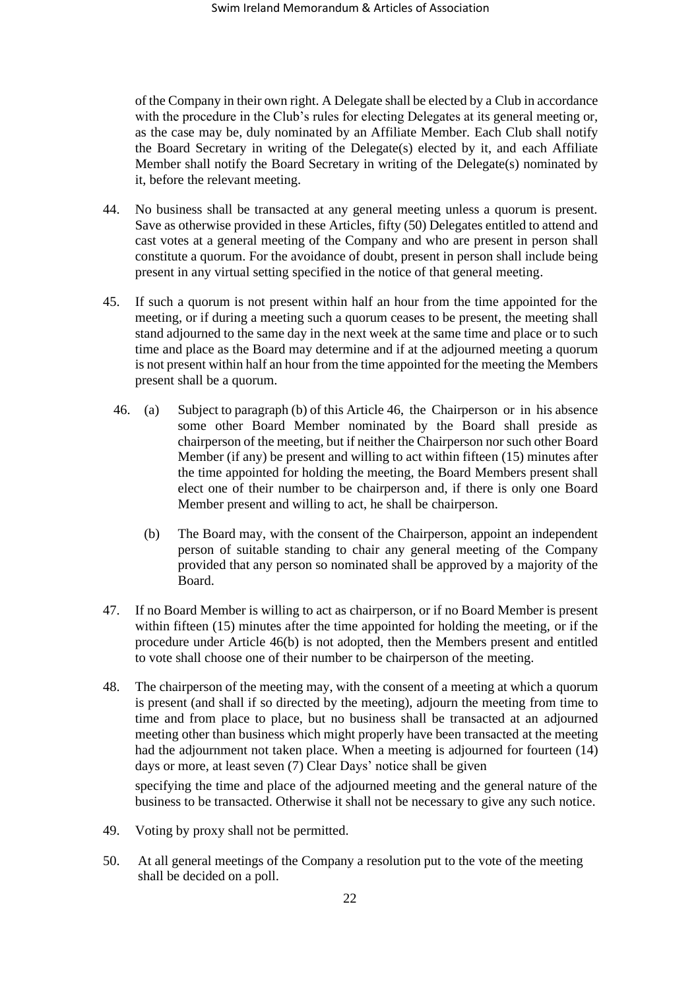of the Company in their own right. A Delegate shall be elected by a Club in accordance with the procedure in the Club's rules for electing Delegates at its general meeting or, as the case may be, duly nominated by an Affiliate Member. Each Club shall notify the Board Secretary in writing of the Delegate(s) elected by it, and each Affiliate Member shall notify the Board Secretary in writing of the Delegate(s) nominated by it, before the relevant meeting.

- 44. No business shall be transacted at any general meeting unless a quorum is present. Save as otherwise provided in these Articles, fifty (50) Delegates entitled to attend and cast votes at a general meeting of the Company and who are present in person shall constitute a quorum. For the avoidance of doubt, present in person shall include being present in any virtual setting specified in the notice of that general meeting.
- <span id="page-21-0"></span>45. If such a quorum is not present within half an hour from the time appointed for the meeting, or if during a meeting such a quorum ceases to be present, the meeting shall stand adjourned to the same day in the next week at the same time and place or to such time and place as the Board may determine and if at the adjourned meeting a quorum is not present within half an hour from the time appointed for the meeting the Members present shall be a quorum.
	- 46. (a) Subject to paragraph (b) of this Article [46,](#page-21-0) the Chairperson or in his absence some other Board Member nominated by the Board shall preside as chairperson of the meeting, but if neither the Chairperson nor such other Board Member (if any) be present and willing to act within fifteen (15) minutes after the time appointed for holding the meeting, the Board Members present shall elect one of their number to be chairperson and, if there is only one Board Member present and willing to act, he shall be chairperson.
		- (b) The Board may, with the consent of the Chairperson, appoint an independent person of suitable standing to chair any general meeting of the Company provided that any person so nominated shall be approved by a majority of the Board.
- 47. If no Board Member is willing to act as chairperson, or if no Board Member is present within fifteen (15) minutes after the time appointed for holding the meeting, or if the procedure under Article [46\(](#page-21-0)b) is not adopted, then the Members present and entitled to vote shall choose one of their number to be chairperson of the meeting.
- 48. The chairperson of the meeting may, with the consent of a meeting at which a quorum is present (and shall if so directed by the meeting), adjourn the meeting from time to time and from place to place, but no business shall be transacted at an adjourned meeting other than business which might properly have been transacted at the meeting had the adjournment not taken place. When a meeting is adjourned for fourteen (14) days or more, at least seven (7) Clear Days' notice shall be given

specifying the time and place of the adjourned meeting and the general nature of the business to be transacted. Otherwise it shall not be necessary to give any such notice.

- 49. Voting by proxy shall not be permitted.
- 50. At all general meetings of the Company a resolution put to the vote of the meeting shall be decided on a poll.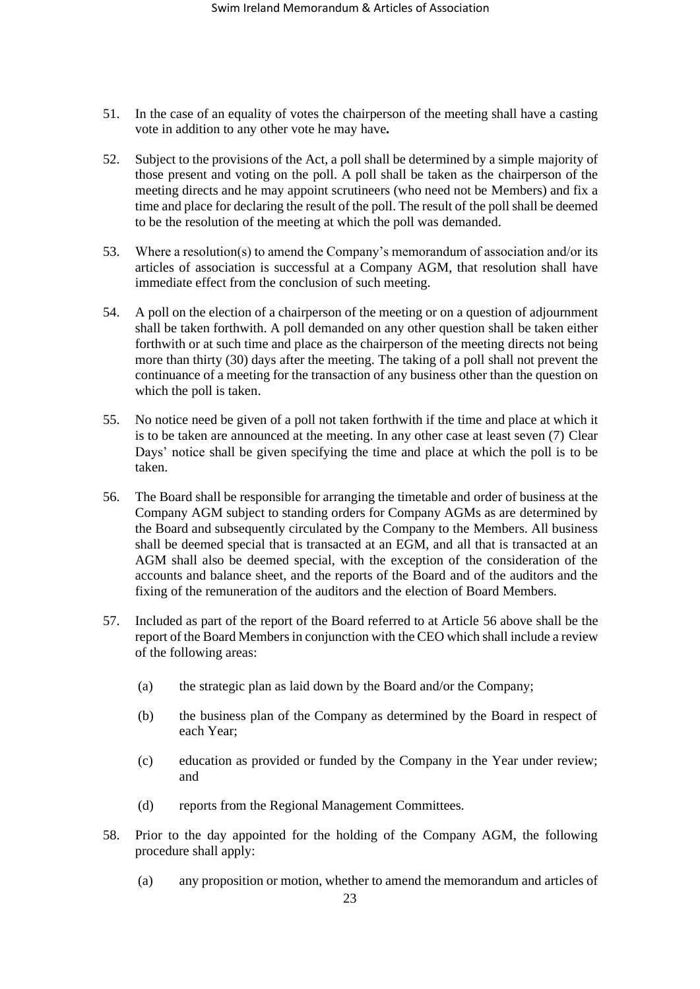- 51. In the case of an equality of votes the chairperson of the meeting shall have a casting vote in addition to any other vote he may have*.*
- 52. Subject to the provisions of the Act, a poll shall be determined by a simple majority of those present and voting on the poll. A poll shall be taken as the chairperson of the meeting directs and he may appoint scrutineers (who need not be Members) and fix a time and place for declaring the result of the poll. The result of the poll shall be deemed to be the resolution of the meeting at which the poll was demanded.
- 53. Where a resolution(s) to amend the Company's memorandum of association and/or its articles of association is successful at a Company AGM, that resolution shall have immediate effect from the conclusion of such meeting.
- 54. A poll on the election of a chairperson of the meeting or on a question of adjournment shall be taken forthwith. A poll demanded on any other question shall be taken either forthwith or at such time and place as the chairperson of the meeting directs not being more than thirty (30) days after the meeting. The taking of a poll shall not prevent the continuance of a meeting for the transaction of any business other than the question on which the poll is taken.
- 55. No notice need be given of a poll not taken forthwith if the time and place at which it is to be taken are announced at the meeting. In any other case at least seven (7) Clear Days' notice shall be given specifying the time and place at which the poll is to be taken.
- <span id="page-22-0"></span>56. The Board shall be responsible for arranging the timetable and order of business at the Company AGM subject to standing orders for Company AGMs as are determined by the Board and subsequently circulated by the Company to the Members. All business shall be deemed special that is transacted at an EGM, and all that is transacted at an AGM shall also be deemed special, with the exception of the consideration of the accounts and balance sheet, and the reports of the Board and of the auditors and the fixing of the remuneration of the auditors and the election of Board Members.
- 57. Included as part of the report of the Board referred to at Article [56](#page-22-0) above shall be the report of the Board Members in conjunction with the CEO which shall include a review of the following areas:
	- (a) the strategic plan as laid down by the Board and/or the Company;
	- (b) the business plan of the Company as determined by the Board in respect of each Year;
	- (c) education as provided or funded by the Company in the Year under review; and
	- (d) reports from the Regional Management Committees.
- <span id="page-22-1"></span>58. Prior to the day appointed for the holding of the Company AGM, the following procedure shall apply:
	- (a) any proposition or motion, whether to amend the memorandum and articles of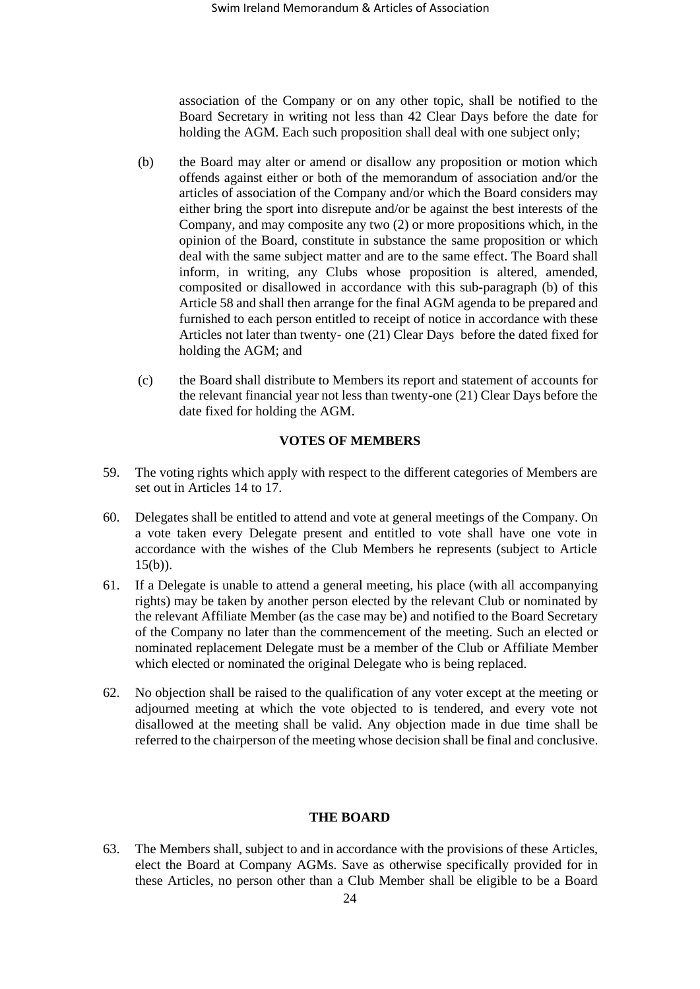association of the Company or on any other topic, shall be notified to the Board Secretary in writing not less than 42 Clear Days before the date for holding the AGM. Each such proposition shall deal with one subject only;

- (b) the Board may alter or amend or disallow any proposition or motion which offends against either or both of the memorandum of association and/or the articles of association of the Company and/or which the Board considers may either bring the sport into disrepute and/or be against the best interests of the Company, and may composite any two (2) or more propositions which, in the opinion of the Board, constitute in substance the same proposition or which deal with the same subject matter and are to the same effect. The Board shall inform, in writing, any Clubs whose proposition is altered, amended, composited or disallowed in accordance with this sub-paragraph (b) of this Article [58](#page-22-1) and shall then arrange for the final AGM agenda to be prepared and furnished to each person entitled to receipt of notice in accordance with these Articles not later than twenty- one (21) Clear Days before the dated fixed for holding the AGM; and
- (c) the Board shall distribute to Members its report and statement of accounts for the relevant financial year not less than twenty-one (21) Clear Days before the date fixed for holding the AGM.

## **VOTES OF MEMBERS**

- 59. The voting rights which apply with respect to the different categories of Members are set out in Articles [14](#page-14-2) to [17.](#page-16-1)
- 60. Delegates shall be entitled to attend and vote at general meetings of the Company. On a vote taken every Delegate present and entitled to vote shall have one vote in accordance with the wishes of the Club Members he represents (subject to Article [15\(b\)\)](#page-15-1).
- 61. If a Delegate is unable to attend a general meeting, his place (with all accompanying rights) may be taken by another person elected by the relevant Club or nominated by the relevant Affiliate Member (as the case may be) and notified to the Board Secretary of the Company no later than the commencement of the meeting. Such an elected or nominated replacement Delegate must be a member of the Club or Affiliate Member which elected or nominated the original Delegate who is being replaced.
- 62. No objection shall be raised to the qualification of any voter except at the meeting or adjourned meeting at which the vote objected to is tendered, and every vote not disallowed at the meeting shall be valid. Any objection made in due time shall be referred to the chairperson of the meeting whose decision shall be final and conclusive.

#### **THE BOARD**

63. The Members shall, subject to and in accordance with the provisions of these Articles, elect the Board at Company AGMs. Save as otherwise specifically provided for in these Articles, no person other than a Club Member shall be eligible to be a Board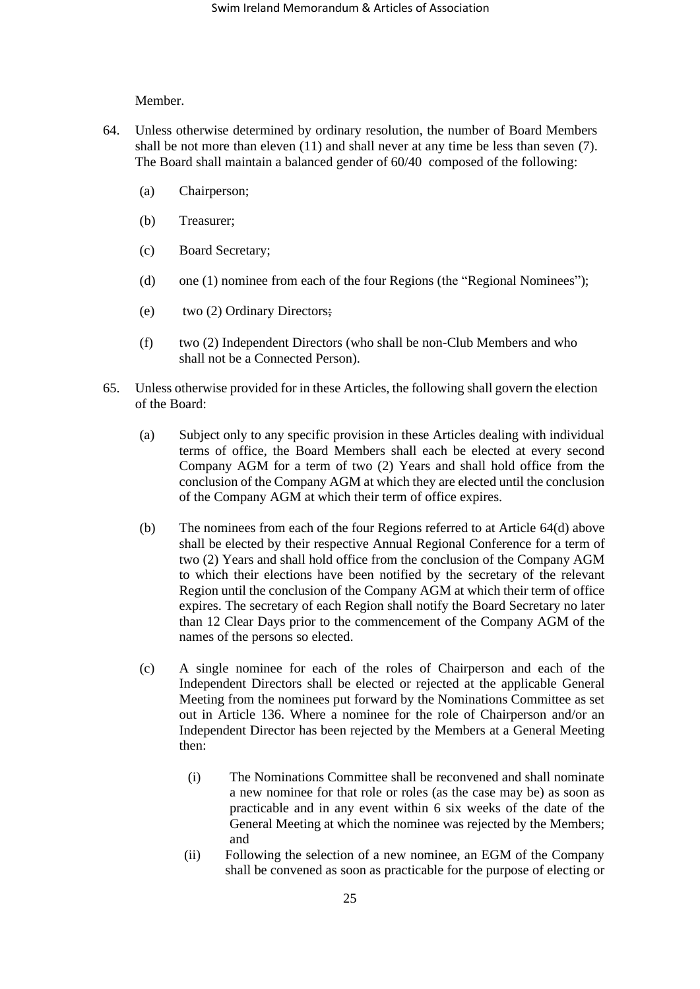Member.

- <span id="page-24-0"></span>64. Unless otherwise determined by ordinary resolution, the number of Board Members shall be not more than eleven (11) and shall never at any time be less than seven (7). The Board shall maintain a balanced gender of 60/40 composed of the following:
	- (a) Chairperson;
	- (b) Treasurer;
	- (c) Board Secretary;
	- (d) one (1) nominee from each of the four Regions (the "Regional Nominees");
	- (e) two (2) Ordinary Directors;
	- (f) two (2) Independent Directors (who shall be non-Club Members and who shall not be a Connected Person).
- <span id="page-24-4"></span><span id="page-24-3"></span><span id="page-24-2"></span><span id="page-24-1"></span>65. Unless otherwise provided for in these Articles, the following shall govern the election of the Board:
	- (a) Subject only to any specific provision in these Articles dealing with individual terms of office, the Board Members shall each be elected at every second Company AGM for a term of two (2) Years and shall hold office from the conclusion of the Company AGM at which they are elected until the conclusion of the Company AGM at which their term of office expires.
	- (b) The nominees from each of the four Regions referred to at Article [64\(d\)](#page-24-3) above shall be elected by their respective Annual Regional Conference for a term of two (2) Years and shall hold office from the conclusion of the Company AGM to which their elections have been notified by the secretary of the relevant Region until the conclusion of the Company AGM at which their term of office expires. The secretary of each Region shall notify the Board Secretary no later than 12 Clear Days prior to the commencement of the Company AGM of the names of the persons so elected.
	- (c) A single nominee for each of the roles of Chairperson and each of the Independent Directors shall be elected or rejected at the applicable General Meeting from the nominees put forward by the Nominations Committee as set out in Article 136. Where a nominee for the role of Chairperson and/or an Independent Director has been rejected by the Members at a General Meeting then:
		- (i) The Nominations Committee shall be reconvened and shall nominate a new nominee for that role or roles (as the case may be) as soon as practicable and in any event within 6 six weeks of the date of the General Meeting at which the nominee was rejected by the Members; and
		- (ii) Following the selection of a new nominee, an EGM of the Company shall be convened as soon as practicable for the purpose of electing or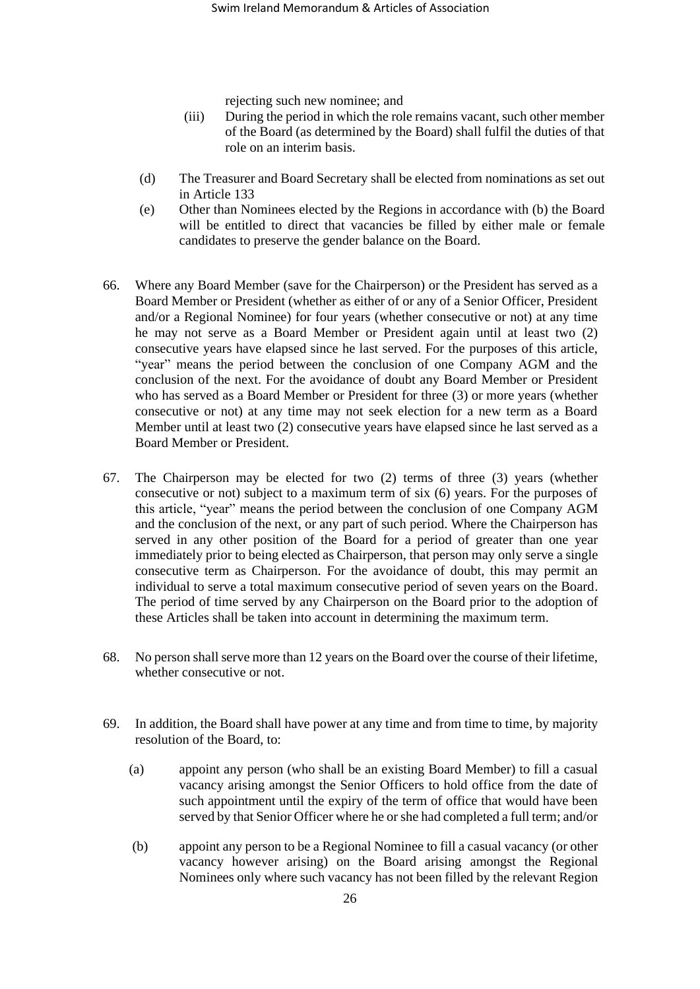rejecting such new nominee; and

- (iii) During the period in which the role remains vacant, such other member of the Board (as determined by the Board) shall fulfil the duties of that role on an interim basis.
- (d) The Treasurer and Board Secretary shall be elected from nominations as set out in Article [133](#page-38-0)
- (e) Other than Nominees elected by the Regions in accordance with (b) the Board will be entitled to direct that vacancies be filled by either male or female candidates to preserve the gender balance on the Board.
- 66. Where any Board Member (save for the Chairperson) or the President has served as a Board Member or President (whether as either of or any of a Senior Officer, President and/or a Regional Nominee) for four years (whether consecutive or not) at any time he may not serve as a Board Member or President again until at least two (2) consecutive years have elapsed since he last served. For the purposes of this article, "year" means the period between the conclusion of one Company AGM and the conclusion of the next. For the avoidance of doubt any Board Member or President who has served as a Board Member or President for three (3) or more years (whether consecutive or not) at any time may not seek election for a new term as a Board Member until at least two (2) consecutive years have elapsed since he last served as a Board Member or President.
- 67. The Chairperson may be elected for two (2) terms of three (3) years (whether consecutive or not) subject to a maximum term of six (6) years. For the purposes of this article, "year" means the period between the conclusion of one Company AGM and the conclusion of the next, or any part of such period. Where the Chairperson has served in any other position of the Board for a period of greater than one year immediately prior to being elected as Chairperson, that person may only serve a single consecutive term as Chairperson. For the avoidance of doubt, this may permit an individual to serve a total maximum consecutive period of seven years on the Board. The period of time served by any Chairperson on the Board prior to the adoption of these Articles shall be taken into account in determining the maximum term.
- 68. No person shall serve more than 12 years on the Board over the course of their lifetime, whether consecutive or not.
- 69. In addition, the Board shall have power at any time and from time to time, by majority resolution of the Board, to:
	- (a) appoint any person (who shall be an existing Board Member) to fill a casual vacancy arising amongst the Senior Officers to hold office from the date of such appointment until the expiry of the term of office that would have been served by that Senior Officer where he or she had completed a full term; and/or
	- (b) appoint any person to be a Regional Nominee to fill a casual vacancy (or other vacancy however arising) on the Board arising amongst the Regional Nominees only where such vacancy has not been filled by the relevant Region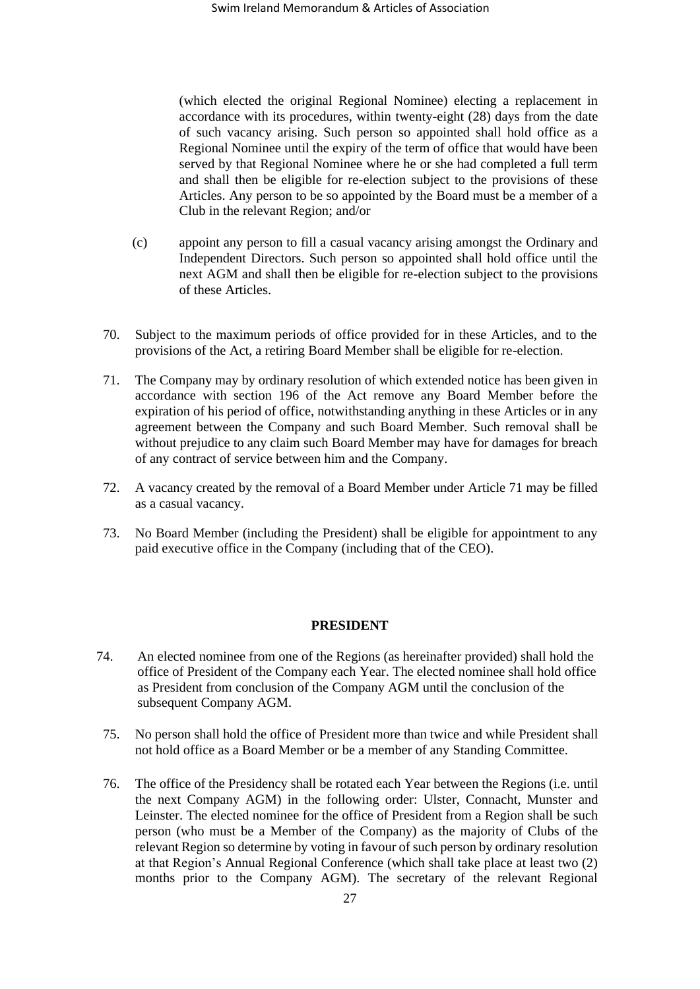(which elected the original Regional Nominee) electing a replacement in accordance with its procedures, within twenty-eight (28) days from the date of such vacancy arising. Such person so appointed shall hold office as a Regional Nominee until the expiry of the term of office that would have been served by that Regional Nominee where he or she had completed a full term and shall then be eligible for re-election subject to the provisions of these Articles. Any person to be so appointed by the Board must be a member of a Club in the relevant Region; and/or

- (c) appoint any person to fill a casual vacancy arising amongst the Ordinary and Independent Directors. Such person so appointed shall hold office until the next AGM and shall then be eligible for re-election subject to the provisions of these Articles.
- 70. Subject to the maximum periods of office provided for in these Articles, and to the provisions of the Act, a retiring Board Member shall be eligible for re-election.
- 71. The Company may by ordinary resolution of which extended notice has been given in accordance with section 196 of the Act remove any Board Member before the expiration of his period of office, notwithstanding anything in these Articles or in any agreement between the Company and such Board Member. Such removal shall be without prejudice to any claim such Board Member may have for damages for breach of any contract of service between him and the Company.
- 72. A vacancy created by the removal of a Board Member under Article 71 may be filled as a casual vacancy.
- 73. No Board Member (including the President) shall be eligible for appointment to any paid executive office in the Company (including that of the CEO).

# **PRESIDENT**

- 74. An elected nominee from one of the Regions (as hereinafter provided) shall hold the office of President of the Company each Year. The elected nominee shall hold office as President from conclusion of the Company AGM until the conclusion of the subsequent Company AGM.
	- 75. No person shall hold the office of President more than twice and while President shall not hold office as a Board Member or be a member of any Standing Committee.
	- 76. The office of the Presidency shall be rotated each Year between the Regions (i.e. until the next Company AGM) in the following order: Ulster, Connacht, Munster and Leinster. The elected nominee for the office of President from a Region shall be such person (who must be a Member of the Company) as the majority of Clubs of the relevant Region so determine by voting in favour of such person by ordinary resolution at that Region's Annual Regional Conference (which shall take place at least two (2) months prior to the Company AGM). The secretary of the relevant Regional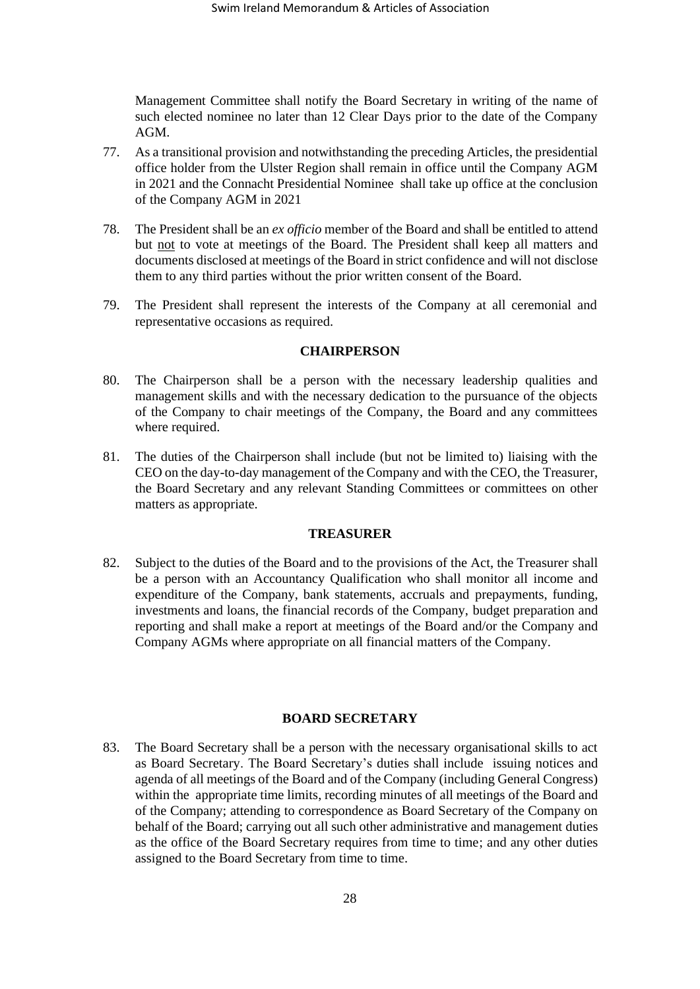Management Committee shall notify the Board Secretary in writing of the name of such elected nominee no later than 12 Clear Days prior to the date of the Company AGM.

- 77. As a transitional provision and notwithstanding the preceding Articles, the presidential office holder from the Ulster Region shall remain in office until the Company AGM in 2021 and the Connacht Presidential Nominee shall take up office at the conclusion of the Company AGM in 2021
- 78. The President shall be an *ex officio* member of the Board and shall be entitled to attend but not to vote at meetings of the Board. The President shall keep all matters and documents disclosed at meetings of the Board in strict confidence and will not disclose them to any third parties without the prior written consent of the Board.
- 79. The President shall represent the interests of the Company at all ceremonial and representative occasions as required.

#### **CHAIRPERSON**

- 80. The Chairperson shall be a person with the necessary leadership qualities and management skills and with the necessary dedication to the pursuance of the objects of the Company to chair meetings of the Company, the Board and any committees where required.
- 81. The duties of the Chairperson shall include (but not be limited to) liaising with the CEO on the day-to-day management of the Company and with the CEO, the Treasurer, the Board Secretary and any relevant Standing Committees or committees on other matters as appropriate.

## **TREASURER**

82. Subject to the duties of the Board and to the provisions of the Act, the Treasurer shall be a person with an Accountancy Qualification who shall monitor all income and expenditure of the Company, bank statements, accruals and prepayments, funding, investments and loans, the financial records of the Company, budget preparation and reporting and shall make a report at meetings of the Board and/or the Company and Company AGMs where appropriate on all financial matters of the Company.

# **BOARD SECRETARY**

<span id="page-27-0"></span>83. The Board Secretary shall be a person with the necessary organisational skills to act as Board Secretary. The Board Secretary's duties shall include issuing notices and agenda of all meetings of the Board and of the Company (including General Congress) within the appropriate time limits, recording minutes of all meetings of the Board and of the Company; attending to correspondence as Board Secretary of the Company on behalf of the Board; carrying out all such other administrative and management duties as the office of the Board Secretary requires from time to time; and any other duties assigned to the Board Secretary from time to time.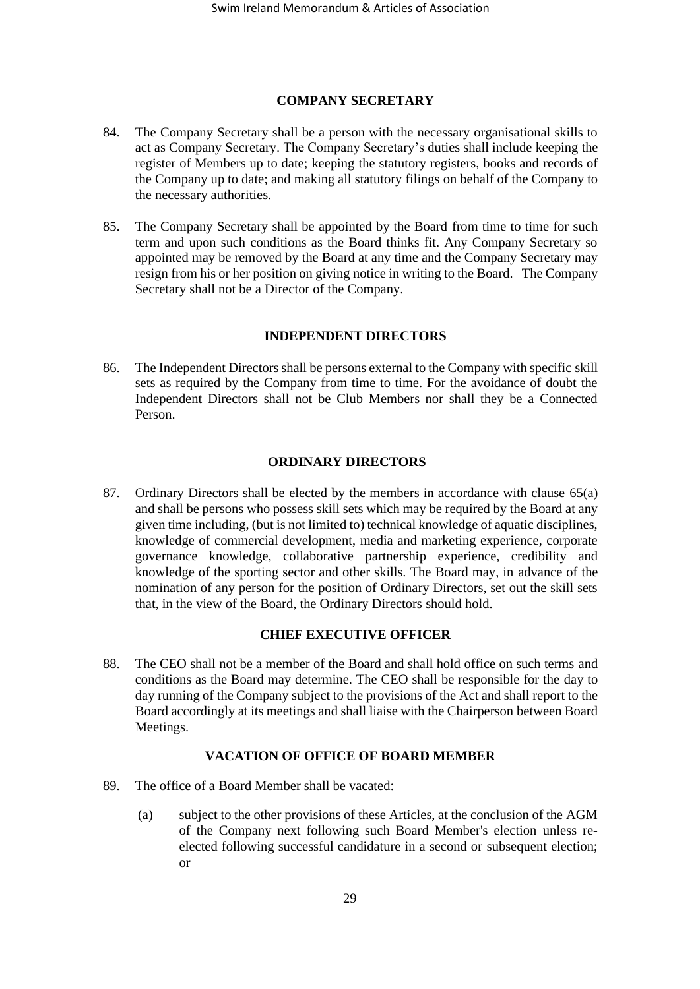# **COMPANY SECRETARY**

- 84. The Company Secretary shall be a person with the necessary organisational skills to act as Company Secretary. The Company Secretary's duties shall include keeping the register of Members up to date; keeping the statutory registers, books and records of the Company up to date; and making all statutory filings on behalf of the Company to the necessary authorities.
- 85. The Company Secretary shall be appointed by the Board from time to time for such term and upon such conditions as the Board thinks fit. Any Company Secretary so appointed may be removed by the Board at any time and the Company Secretary may resign from his or her position on giving notice in writing to the Board. The Company Secretary shall not be a Director of the Company.

# **INDEPENDENT DIRECTORS**

86. The Independent Directors shall be persons external to the Company with specific skill sets as required by the Company from time to time. For the avoidance of doubt the Independent Directors shall not be Club Members nor shall they be a Connected Person.

# **ORDINARY DIRECTORS**

87. Ordinary Directors shall be elected by the members in accordance with clause [65\(a\)](#page-24-4) and shall be persons who possess skill sets which may be required by the Board at any given time including, (but is not limited to) technical knowledge of aquatic disciplines, knowledge of commercial development, media and marketing experience, corporate governance knowledge, collaborative partnership experience, credibility and knowledge of the sporting sector and other skills. The Board may, in advance of the nomination of any person for the position of Ordinary Directors, set out the skill sets that, in the view of the Board, the Ordinary Directors should hold.

# **CHIEF EXECUTIVE OFFICER**

88. The CEO shall not be a member of the Board and shall hold office on such terms and conditions as the Board may determine. The CEO shall be responsible for the day to day running of the Company subject to the provisions of the Act and shall report to the Board accordingly at its meetings and shall liaise with the Chairperson between Board Meetings.

# **VACATION OF OFFICE OF BOARD MEMBER**

- 89. The office of a Board Member shall be vacated:
	- (a) subject to the other provisions of these Articles, at the conclusion of the AGM of the Company next following such Board Member's election unless reelected following successful candidature in a second or subsequent election; or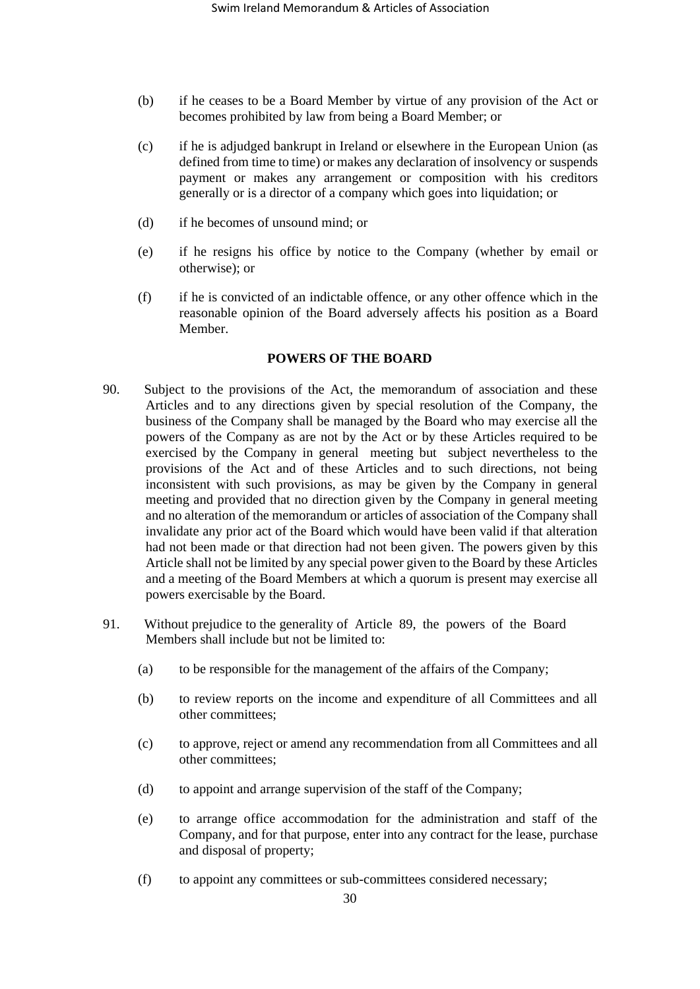- (b) if he ceases to be a Board Member by virtue of any provision of the Act or becomes prohibited by law from being a Board Member; or
- (c) if he is adjudged bankrupt in Ireland or elsewhere in the European Union (as defined from time to time) or makes any declaration of insolvency or suspends payment or makes any arrangement or composition with his creditors generally or is a director of a company which goes into liquidation; or
- (d) if he becomes of unsound mind; or
- (e) if he resigns his office by notice to the Company (whether by email or otherwise); or
- (f) if he is convicted of an indictable offence, or any other offence which in the reasonable opinion of the Board adversely affects his position as a Board Member.

# **POWERS OF THE BOARD**

- 90. Subject to the provisions of the Act, the memorandum of association and these Articles and to any directions given by special resolution of the Company, the business of the Company shall be managed by the Board who may exercise all the powers of the Company as are not by the Act or by these Articles required to be exercised by the Company in general meeting but subject nevertheless to the provisions of the Act and of these Articles and to such directions, not being inconsistent with such provisions, as may be given by the Company in general meeting and provided that no direction given by the Company in general meeting and no alteration of the memorandum or articles of association of the Company shall invalidate any prior act of the Board which would have been valid if that alteration had not been made or that direction had not been given. The powers given by this Article shall not be limited by any special power given to the Board by these Articles and a meeting of the Board Members at which a quorum is present may exercise all powers exercisable by the Board.
- 91. Without prejudice to the generality of Article 89, the powers of the Board Members shall include but not be limited to:
	- (a) to be responsible for the management of the affairs of the Company;
	- (b) to review reports on the income and expenditure of all Committees and all other committees;
	- (c) to approve, reject or amend any recommendation from all Committees and all other committees;
	- (d) to appoint and arrange supervision of the staff of the Company;
	- (e) to arrange office accommodation for the administration and staff of the Company, and for that purpose, enter into any contract for the lease, purchase and disposal of property;
	- (f) to appoint any committees or sub-committees considered necessary;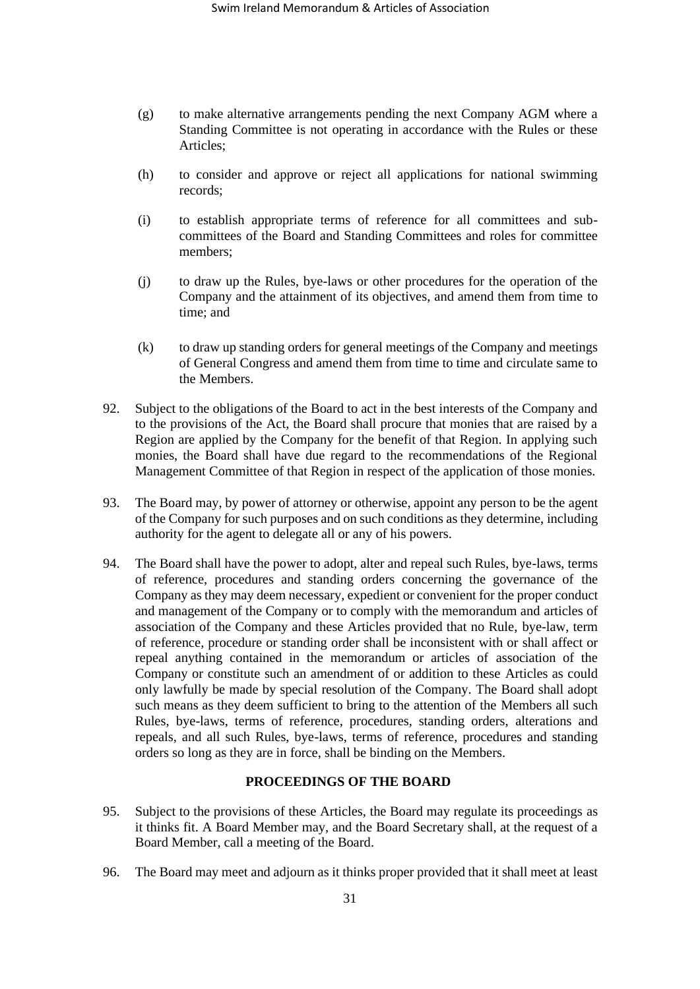- (g) to make alternative arrangements pending the next Company AGM where a Standing Committee is not operating in accordance with the Rules or these Articles;
- (h) to consider and approve or reject all applications for national swimming records;
- (i) to establish appropriate terms of reference for all committees and subcommittees of the Board and Standing Committees and roles for committee members;
- (j) to draw up the Rules, bye-laws or other procedures for the operation of the Company and the attainment of its objectives, and amend them from time to time; and
- (k) to draw up standing orders for general meetings of the Company and meetings of General Congress and amend them from time to time and circulate same to the Members.
- 92. Subject to the obligations of the Board to act in the best interests of the Company and to the provisions of the Act, the Board shall procure that monies that are raised by a Region are applied by the Company for the benefit of that Region. In applying such monies, the Board shall have due regard to the recommendations of the Regional Management Committee of that Region in respect of the application of those monies.
- 93. The Board may, by power of attorney or otherwise, appoint any person to be the agent of the Company for such purposes and on such conditions as they determine, including authority for the agent to delegate all or any of his powers.
- 94. The Board shall have the power to adopt, alter and repeal such Rules, bye-laws, terms of reference, procedures and standing orders concerning the governance of the Company as they may deem necessary, expedient or convenient for the proper conduct and management of the Company or to comply with the memorandum and articles of association of the Company and these Articles provided that no Rule, bye-law, term of reference, procedure or standing order shall be inconsistent with or shall affect or repeal anything contained in the memorandum or articles of association of the Company or constitute such an amendment of or addition to these Articles as could only lawfully be made by special resolution of the Company. The Board shall adopt such means as they deem sufficient to bring to the attention of the Members all such Rules, bye-laws, terms of reference, procedures, standing orders, alterations and repeals, and all such Rules, bye-laws, terms of reference, procedures and standing orders so long as they are in force, shall be binding on the Members.

# **PROCEEDINGS OF THE BOARD**

- <span id="page-30-0"></span>95. Subject to the provisions of these Articles, the Board may regulate its proceedings as it thinks fit. A Board Member may, and the Board Secretary shall, at the request of a Board Member, call a meeting of the Board.
- 96. The Board may meet and adjourn as it thinks proper provided that it shall meet at least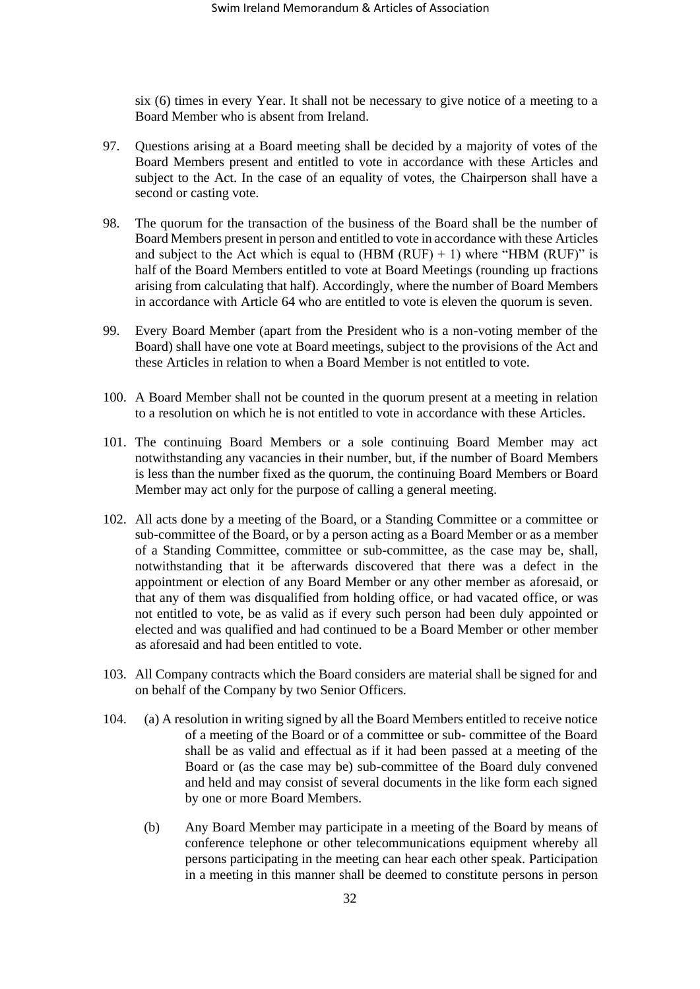six (6) times in every Year. It shall not be necessary to give notice of a meeting to a Board Member who is absent from Ireland.

- 97. Questions arising at a Board meeting shall be decided by a majority of votes of the Board Members present and entitled to vote in accordance with these Articles and subject to the Act. In the case of an equality of votes, the Chairperson shall have a second or casting vote.
- 98. The quorum for the transaction of the business of the Board shall be the number of Board Members present in person and entitled to vote in accordance with these Articles and subject to the Act which is equal to  $(HBM (RUF) + 1)$  where "HBM (RUF)" is half of the Board Members entitled to vote at Board Meetings (rounding up fractions arising from calculating that half). Accordingly, where the number of Board Members in accordance with Article 64 who are entitled to vote is eleven the quorum is seven.
- 99. Every Board Member (apart from the President who is a non-voting member of the Board) shall have one vote at Board meetings, subject to the provisions of the Act and these Articles in relation to when a Board Member is not entitled to vote.
- 100. A Board Member shall not be counted in the quorum present at a meeting in relation to a resolution on which he is not entitled to vote in accordance with these Articles.
- 101. The continuing Board Members or a sole continuing Board Member may act notwithstanding any vacancies in their number, but, if the number of Board Members is less than the number fixed as the quorum, the continuing Board Members or Board Member may act only for the purpose of calling a general meeting.
- 102. All acts done by a meeting of the Board, or a Standing Committee or a committee or sub-committee of the Board, or by a person acting as a Board Member or as a member of a Standing Committee, committee or sub-committee, as the case may be, shall, notwithstanding that it be afterwards discovered that there was a defect in the appointment or election of any Board Member or any other member as aforesaid, or that any of them was disqualified from holding office, or had vacated office, or was not entitled to vote, be as valid as if every such person had been duly appointed or elected and was qualified and had continued to be a Board Member or other member as aforesaid and had been entitled to vote.
- 103. All Company contracts which the Board considers are material shall be signed for and on behalf of the Company by two Senior Officers.
- 104. (a) A resolution in writing signed by all the Board Members entitled to receive notice of a meeting of the Board or of a committee or sub- committee of the Board shall be as valid and effectual as if it had been passed at a meeting of the Board or (as the case may be) sub-committee of the Board duly convened and held and may consist of several documents in the like form each signed by one or more Board Members.
	- (b) Any Board Member may participate in a meeting of the Board by means of conference telephone or other telecommunications equipment whereby all persons participating in the meeting can hear each other speak. Participation in a meeting in this manner shall be deemed to constitute persons in person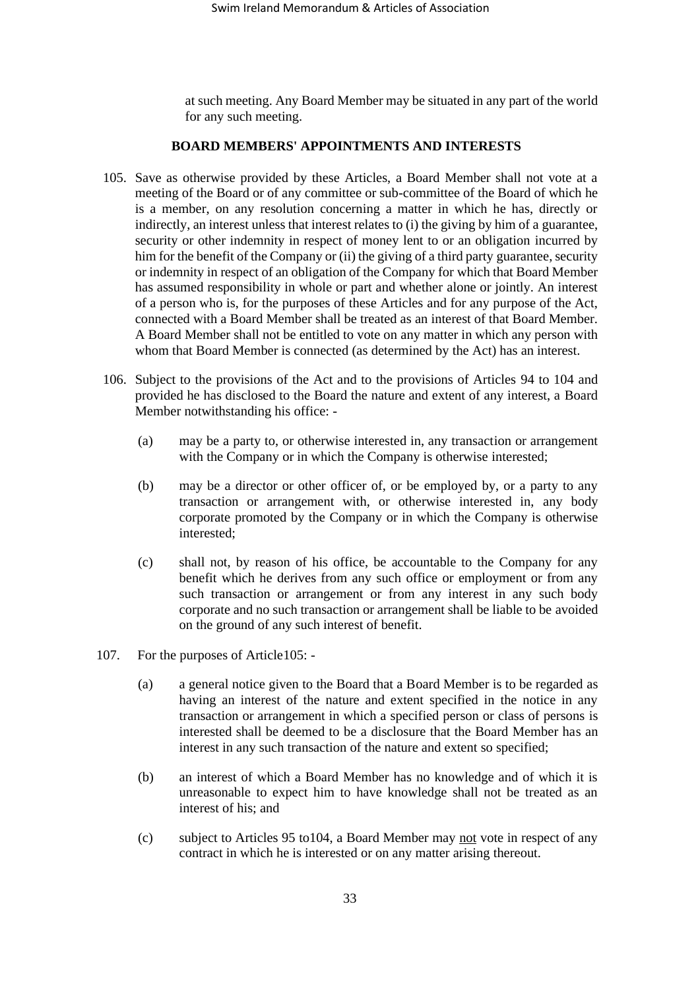at such meeting. Any Board Member may be situated in any part of the world for any such meeting.

## **BOARD MEMBERS' APPOINTMENTS AND INTERESTS**

- 105. Save as otherwise provided by these Articles, a Board Member shall not vote at a meeting of the Board or of any committee or sub-committee of the Board of which he is a member, on any resolution concerning a matter in which he has, directly or indirectly, an interest unless that interest relates to (i) the giving by him of a guarantee, security or other indemnity in respect of money lent to or an obligation incurred by him for the benefit of the Company or (ii) the giving of a third party guarantee, security or indemnity in respect of an obligation of the Company for which that Board Member has assumed responsibility in whole or part and whether alone or jointly. An interest of a person who is, for the purposes of these Articles and for any purpose of the Act, connected with a Board Member shall be treated as an interest of that Board Member. A Board Member shall not be entitled to vote on any matter in which any person with whom that Board Member is connected (as determined by the Act) has an interest.
- 106. Subject to the provisions of the Act and to the provisions of Articles 94 to 104 and provided he has disclosed to the Board the nature and extent of any interest, a Board Member notwithstanding his office: -
	- (a) may be a party to, or otherwise interested in, any transaction or arrangement with the Company or in which the Company is otherwise interested;
	- (b) may be a director or other officer of, or be employed by, or a party to any transaction or arrangement with, or otherwise interested in, any body corporate promoted by the Company or in which the Company is otherwise interested;
	- (c) shall not, by reason of his office, be accountable to the Company for any benefit which he derives from any such office or employment or from any such transaction or arrangement or from any interest in any such body corporate and no such transaction or arrangement shall be liable to be avoided on the ground of any such interest of benefit.
- 107. For the purposes of Article105:
	- (a) a general notice given to the Board that a Board Member is to be regarded as having an interest of the nature and extent specified in the notice in any transaction or arrangement in which a specified person or class of persons is interested shall be deemed to be a disclosure that the Board Member has an interest in any such transaction of the nature and extent so specified;
	- (b) an interest of which a Board Member has no knowledge and of which it is unreasonable to expect him to have knowledge shall not be treated as an interest of his; and
	- (c) subject to Articles [95](#page-30-0) to104, a Board Member may not vote in respect of any contract in which he is interested or on any matter arising thereout.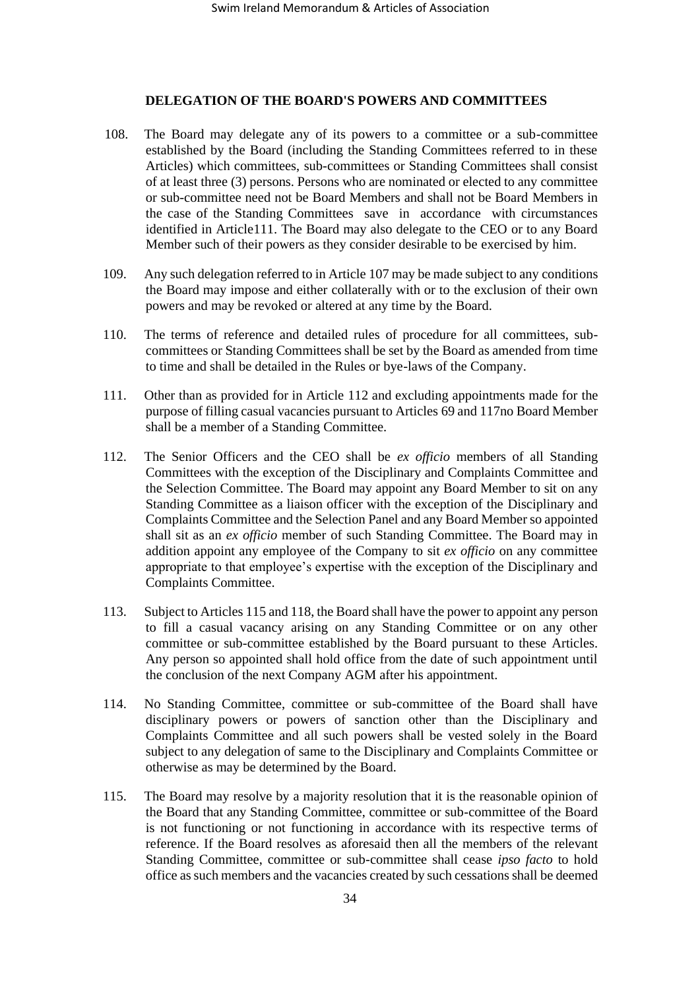## **DELEGATION OF THE BOARD'S POWERS AND COMMITTEES**

- 108. The Board may delegate any of its powers to a committee or a sub-committee established by the Board (including the Standing Committees referred to in these Articles) which committees, sub-committees or Standing Committees shall consist of at least three (3) persons. Persons who are nominated or elected to any committee or sub-committee need not be Board Members and shall not be Board Members in the case of the Standing Committees save in accordance with circumstances identified in Article111. The Board may also delegate to the CEO or to any Board Member such of their powers as they consider desirable to be exercised by him.
- 109. Any such delegation referred to in Article 107 may be made subject to any conditions the Board may impose and either collaterally with or to the exclusion of their own powers and may be revoked or altered at any time by the Board.
- 110. The terms of reference and detailed rules of procedure for all committees, subcommittees or Standing Committees shall be set by the Board as amended from time to time and shall be detailed in the Rules or bye-laws of the Company.
- 111. Other than as provided for in Article [112](#page-33-0) and excluding appointments made for the purpose of filling casual vacancies pursuant to Articles 69 and 117no Board Member shall be a member of a Standing Committee.
- <span id="page-33-0"></span>112. The Senior Officers and the CEO shall be *ex officio* members of all Standing Committees with the exception of the Disciplinary and Complaints Committee and the Selection Committee. The Board may appoint any Board Member to sit on any Standing Committee as a liaison officer with the exception of the Disciplinary and Complaints Committee and the Selection Panel and any Board Member so appointed shall sit as an *ex officio* member of such Standing Committee. The Board may in addition appoint any employee of the Company to sit *ex officio* on any committee appropriate to that employee's expertise with the exception of the Disciplinary and Complaints Committee.
- 113. Subject to Articles 115 and [118,](#page-34-0) the Board shall have the power to appoint any person to fill a casual vacancy arising on any Standing Committee or on any other committee or sub-committee established by the Board pursuant to these Articles. Any person so appointed shall hold office from the date of such appointment until the conclusion of the next Company AGM after his appointment.
- 114. No Standing Committee, committee or sub-committee of the Board shall have disciplinary powers or powers of sanction other than the Disciplinary and Complaints Committee and all such powers shall be vested solely in the Board subject to any delegation of same to the Disciplinary and Complaints Committee or otherwise as may be determined by the Board.
- 115. The Board may resolve by a majority resolution that it is the reasonable opinion of the Board that any Standing Committee, committee or sub-committee of the Board is not functioning or not functioning in accordance with its respective terms of reference. If the Board resolves as aforesaid then all the members of the relevant Standing Committee, committee or sub-committee shall cease *ipso facto* to hold office as such members and the vacancies created by such cessations shall be deemed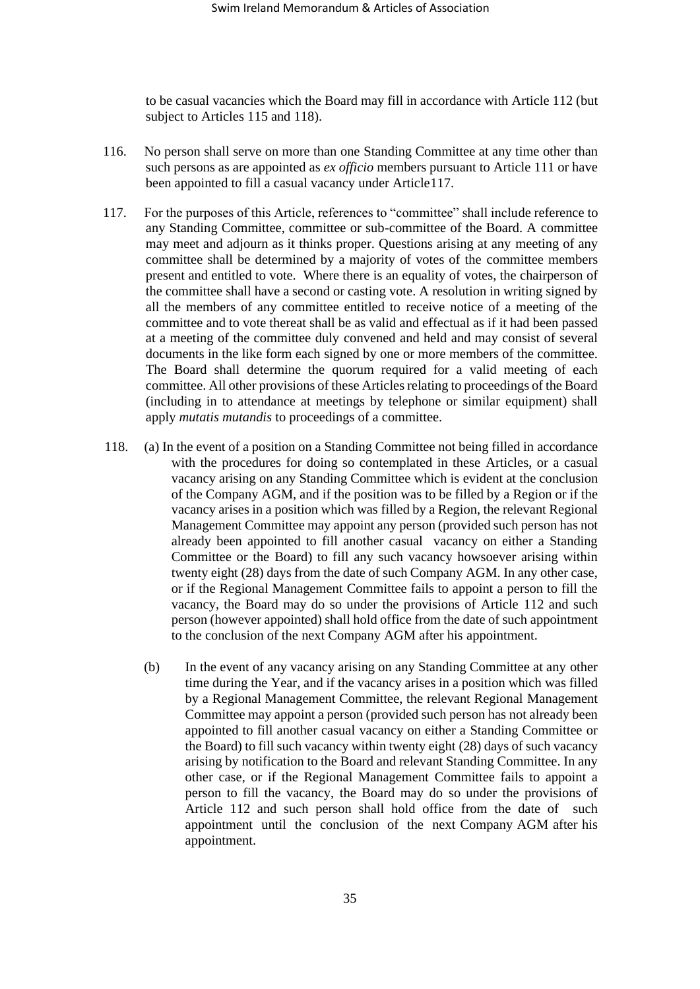to be casual vacancies which the Board may fill in accordance with Article 112 (but subject to Articles 115 and [118\)](#page-34-0).

- 116. No person shall serve on more than one Standing Committee at any time other than such persons as are appointed as *ex officio* members pursuant to Article 111 or have been appointed to fill a casual vacancy under Article117.
- 117. For the purposes of this Article, references to "committee" shall include reference to any Standing Committee, committee or sub-committee of the Board. A committee may meet and adjourn as it thinks proper. Questions arising at any meeting of any committee shall be determined by a majority of votes of the committee members present and entitled to vote. Where there is an equality of votes, the chairperson of the committee shall have a second or casting vote. A resolution in writing signed by all the members of any committee entitled to receive notice of a meeting of the committee and to vote thereat shall be as valid and effectual as if it had been passed at a meeting of the committee duly convened and held and may consist of several documents in the like form each signed by one or more members of the committee. The Board shall determine the quorum required for a valid meeting of each committee. All other provisions of these Articles relating to proceedings of the Board (including in to attendance at meetings by telephone or similar equipment) shall apply *mutatis mutandis* to proceedings of a committee.
- <span id="page-34-0"></span>118. (a) In the event of a position on a Standing Committee not being filled in accordance with the procedures for doing so contemplated in these Articles, or a casual vacancy arising on any Standing Committee which is evident at the conclusion of the Company AGM, and if the position was to be filled by a Region or if the vacancy arises in a position which was filled by a Region, the relevant Regional Management Committee may appoint any person (provided such person has not already been appointed to fill another casual vacancy on either a Standing Committee or the Board) to fill any such vacancy howsoever arising within twenty eight (28) days from the date of such Company AGM. In any other case, or if the Regional Management Committee fails to appoint a person to fill the vacancy, the Board may do so under the provisions of Article 112 and such person (however appointed) shall hold office from the date of such appointment to the conclusion of the next Company AGM after his appointment.
	- (b) In the event of any vacancy arising on any Standing Committee at any other time during the Year, and if the vacancy arises in a position which was filled by a Regional Management Committee, the relevant Regional Management Committee may appoint a person (provided such person has not already been appointed to fill another casual vacancy on either a Standing Committee or the Board) to fill such vacancy within twenty eight (28) days of such vacancy arising by notification to the Board and relevant Standing Committee. In any other case, or if the Regional Management Committee fails to appoint a person to fill the vacancy, the Board may do so under the provisions of Article 112 and such person shall hold office from the date of such appointment until the conclusion of the next Company AGM after his appointment.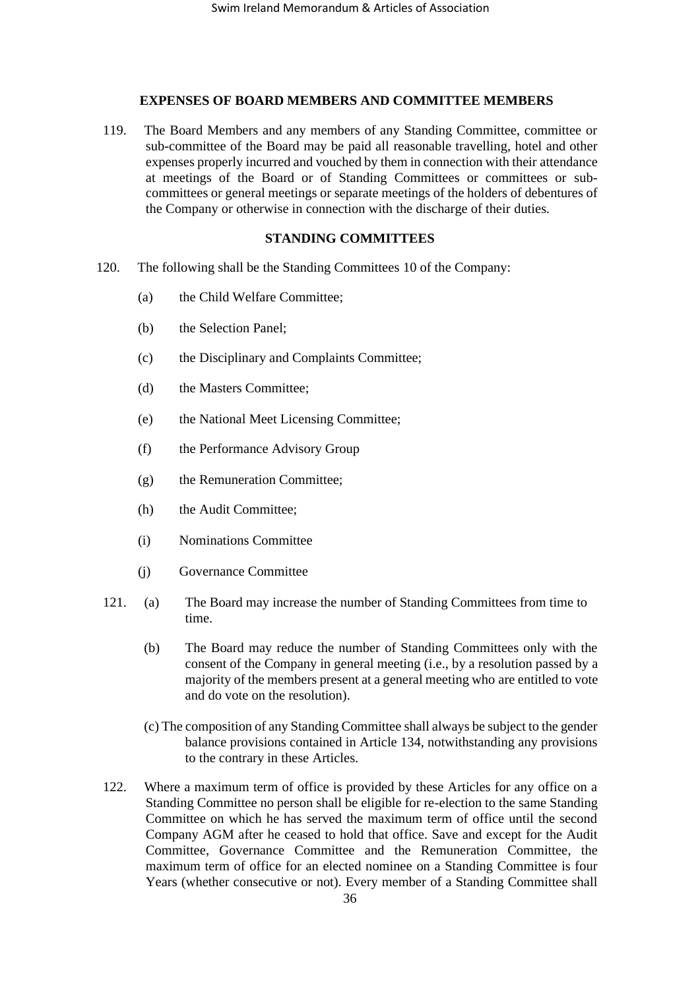## **EXPENSES OF BOARD MEMBERS AND COMMITTEE MEMBERS**

119. The Board Members and any members of any Standing Committee, committee or sub-committee of the Board may be paid all reasonable travelling, hotel and other expenses properly incurred and vouched by them in connection with their attendance at meetings of the Board or of Standing Committees or committees or subcommittees or general meetings or separate meetings of the holders of debentures of the Company or otherwise in connection with the discharge of their duties.

# **STANDING COMMITTEES**

- <span id="page-35-0"></span>120. The following shall be the Standing Committees 10 of the Company:
	- (a) the Child Welfare Committee;
	- (b) the Selection Panel;
	- (c) the Disciplinary and Complaints Committee;
	- (d) the Masters Committee;
	- (e) the National Meet Licensing Committee;
	- (f) the Performance Advisory Group
	- (g) the Remuneration Committee;
	- (h) the Audit Committee;
	- (i) Nominations Committee
	- (j) Governance Committee
- 121. (a) The Board may increase the number of Standing Committees from time to time.
	- (b) The Board may reduce the number of Standing Committees only with the consent of the Company in general meeting (i.e., by a resolution passed by a majority of the members present at a general meeting who are entitled to vote and do vote on the resolution).
	- (c) The composition of any Standing Committee shall always be subject to the gender balance provisions contained in Article 134, notwithstanding any provisions to the contrary in these Articles.
- 122. Where a maximum term of office is provided by these Articles for any office on a Standing Committee no person shall be eligible for re-election to the same Standing Committee on which he has served the maximum term of office until the second Company AGM after he ceased to hold that office. Save and except for the Audit Committee, Governance Committee and the Remuneration Committee, the maximum term of office for an elected nominee on a Standing Committee is four Years (whether consecutive or not). Every member of a Standing Committee shall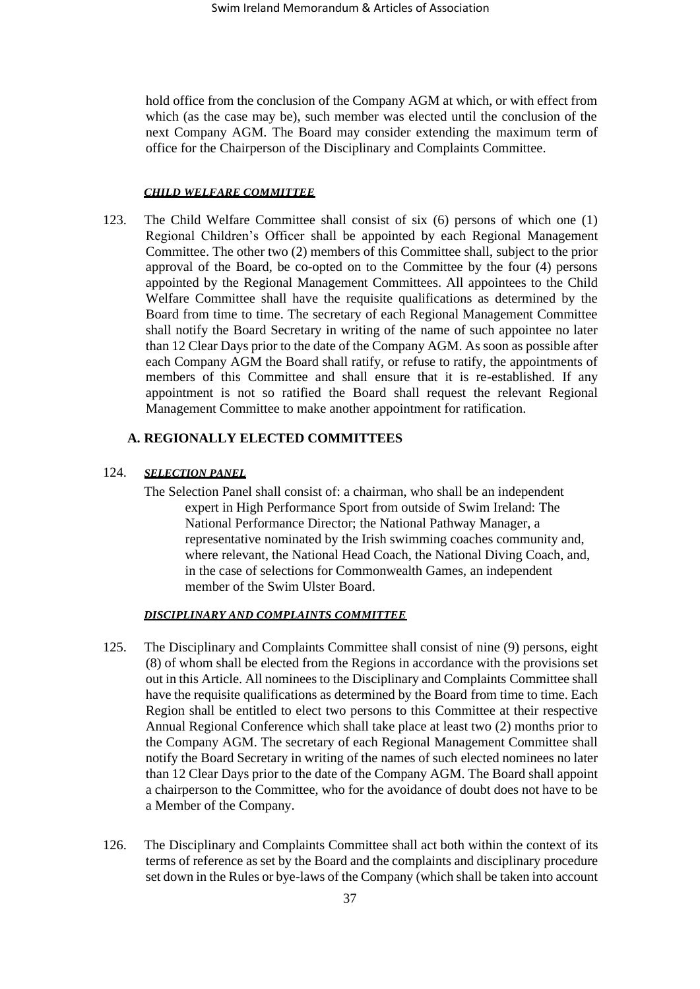hold office from the conclusion of the Company AGM at which, or with effect from which (as the case may be), such member was elected until the conclusion of the next Company AGM. The Board may consider extending the maximum term of office for the Chairperson of the Disciplinary and Complaints Committee.

## *CHILD WELFARE COMMITTEE*

<span id="page-36-0"></span>123. The Child Welfare Committee shall consist of six (6) persons of which one (1) Regional Children's Officer shall be appointed by each Regional Management Committee. The other two (2) members of this Committee shall, subject to the prior approval of the Board, be co-opted on to the Committee by the four (4) persons appointed by the Regional Management Committees. All appointees to the Child Welfare Committee shall have the requisite qualifications as determined by the Board from time to time. The secretary of each Regional Management Committee shall notify the Board Secretary in writing of the name of such appointee no later than 12 Clear Days prior to the date of the Company AGM. As soon as possible after each Company AGM the Board shall ratify, or refuse to ratify, the appointments of members of this Committee and shall ensure that it is re-established. If any appointment is not so ratified the Board shall request the relevant Regional Management Committee to make another appointment for ratification.

# **A. REGIONALLY ELECTED COMMITTEES**

# 124. *SELECTION PANEL*

The Selection Panel shall consist of: a chairman, who shall be an independent expert in High Performance Sport from outside of Swim Ireland: The National Performance Director; the National Pathway Manager, a representative nominated by the Irish swimming coaches community and, where relevant, the National Head Coach, the National Diving Coach, and, in the case of selections for Commonwealth Games, an independent member of the Swim Ulster Board.

## *DISCIPLINARY AND COMPLAINTS COMMITTEE*

- 125. The Disciplinary and Complaints Committee shall consist of nine (9) persons, eight (8) of whom shall be elected from the Regions in accordance with the provisions set out in this Article. All nominees to the Disciplinary and Complaints Committee shall have the requisite qualifications as determined by the Board from time to time. Each Region shall be entitled to elect two persons to this Committee at their respective Annual Regional Conference which shall take place at least two (2) months prior to the Company AGM. The secretary of each Regional Management Committee shall notify the Board Secretary in writing of the names of such elected nominees no later than 12 Clear Days prior to the date of the Company AGM. The Board shall appoint a chairperson to the Committee, who for the avoidance of doubt does not have to be a Member of the Company.
- <span id="page-36-1"></span>126. The Disciplinary and Complaints Committee shall act both within the context of its terms of reference as set by the Board and the complaints and disciplinary procedure set down in the Rules or bye-laws of the Company (which shall be taken into account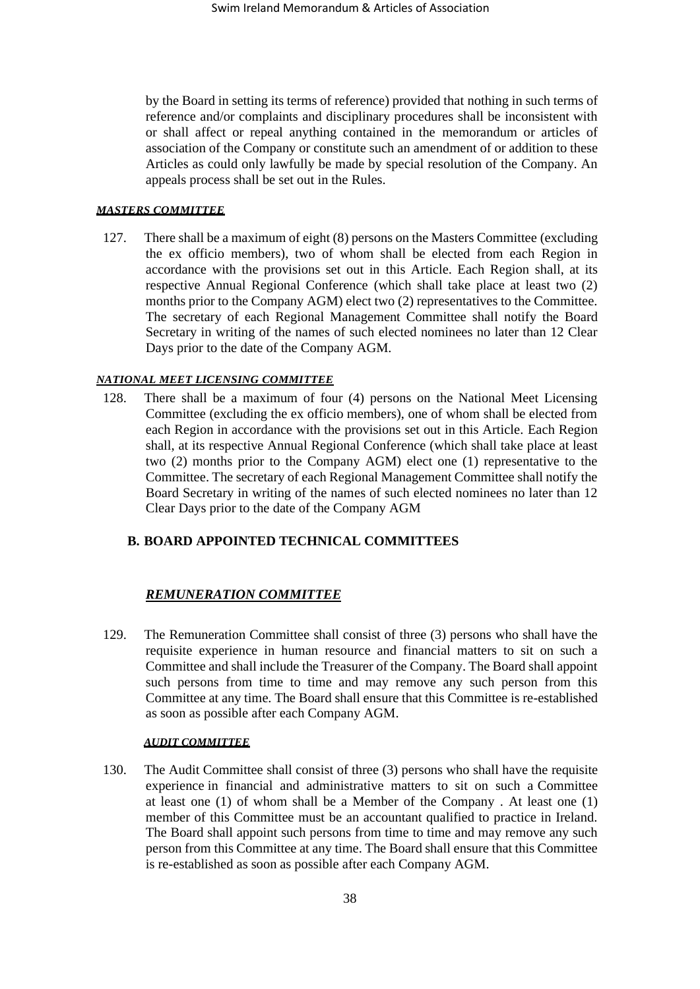by the Board in setting its terms of reference) provided that nothing in such terms of reference and/or complaints and disciplinary procedures shall be inconsistent with or shall affect or repeal anything contained in the memorandum or articles of association of the Company or constitute such an amendment of or addition to these Articles as could only lawfully be made by special resolution of the Company. An appeals process shall be set out in the Rules.

## *MASTERS COMMITTEE*

<span id="page-37-0"></span>127. There shall be a maximum of eight (8) persons on the Masters Committee (excluding the ex officio members), two of whom shall be elected from each Region in accordance with the provisions set out in this Article. Each Region shall, at its respective Annual Regional Conference (which shall take place at least two (2) months prior to the Company AGM) elect two (2) representatives to the Committee. The secretary of each Regional Management Committee shall notify the Board Secretary in writing of the names of such elected nominees no later than 12 Clear Days prior to the date of the Company AGM.

# *NATIONAL MEET LICENSING COMMITTEE*

<span id="page-37-1"></span>128. There shall be a maximum of four (4) persons on the National Meet Licensing Committee (excluding the ex officio members), one of whom shall be elected from each Region in accordance with the provisions set out in this Article. Each Region shall, at its respective Annual Regional Conference (which shall take place at least two (2) months prior to the Company AGM) elect one (1) representative to the Committee. The secretary of each Regional Management Committee shall notify the Board Secretary in writing of the names of such elected nominees no later than 12 Clear Days prior to the date of the Company AGM

# **B. BOARD APPOINTED TECHNICAL COMMITTEES**

# *REMUNERATION COMMITTEE*

129. The Remuneration Committee shall consist of three (3) persons who shall have the requisite experience in human resource and financial matters to sit on such a Committee and shall include the Treasurer of the Company. The Board shall appoint such persons from time to time and may remove any such person from this Committee at any time. The Board shall ensure that this Committee is re-established as soon as possible after each Company AGM.

## *AUDIT COMMITTEE*

130. The Audit Committee shall consist of three (3) persons who shall have the requisite experience in financial and administrative matters to sit on such a Committee at least one (1) of whom shall be a Member of the Company . At least one (1) member of this Committee must be an accountant qualified to practice in Ireland. The Board shall appoint such persons from time to time and may remove any such person from this Committee at any time. The Board shall ensure that this Committee is re-established as soon as possible after each Company AGM.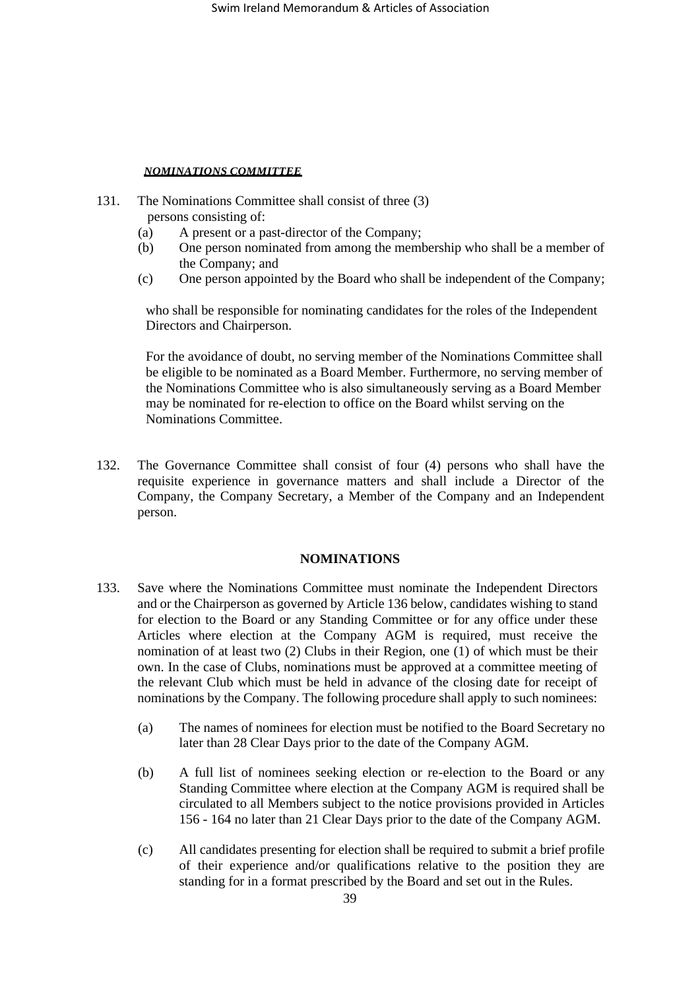# *NOMINATIONS COMMITTEE*

- 131. The Nominations Committee shall consist of three (3) persons consisting of:
	- (a) A present or a past-director of the Company;
	- (b) One person nominated from among the membership who shall be a member of the Company; and
	- (c) One person appointed by the Board who shall be independent of the Company;

who shall be responsible for nominating candidates for the roles of the Independent Directors and Chairperson.

For the avoidance of doubt, no serving member of the Nominations Committee shall be eligible to be nominated as a Board Member. Furthermore, no serving member of the Nominations Committee who is also simultaneously serving as a Board Member may be nominated for re-election to office on the Board whilst serving on the Nominations Committee.

132. The Governance Committee shall consist of four (4) persons who shall have the requisite experience in governance matters and shall include a Director of the Company, the Company Secretary, a Member of the Company and an Independent person.

## **NOMINATIONS**

- <span id="page-38-1"></span><span id="page-38-0"></span>133. Save where the Nominations Committee must nominate the Independent Directors and or the Chairperson as governed by Article 136 below, candidates wishing to stand for election to the Board or any Standing Committee or for any office under these Articles where election at the Company AGM is required, must receive the nomination of at least two (2) Clubs in their Region, one (1) of which must be their own. In the case of Clubs, nominations must be approved at a committee meeting of the relevant Club which must be held in advance of the closing date for receipt of nominations by the Company. The following procedure shall apply to such nominees:
	- (a) The names of nominees for election must be notified to the Board Secretary no later than 28 Clear Days prior to the date of the Company AGM.
	- (b) A full list of nominees seeking election or re-election to the Board or any Standing Committee where election at the Company AGM is required shall be circulated to all Members subject to the notice provisions provided in Articles 156 - [164](#page-47-0) no later than 21 Clear Days prior to the date of the Company AGM.
	- (c) All candidates presenting for election shall be required to submit a brief profile of their experience and/or qualifications relative to the position they are standing for in a format prescribed by the Board and set out in the Rules.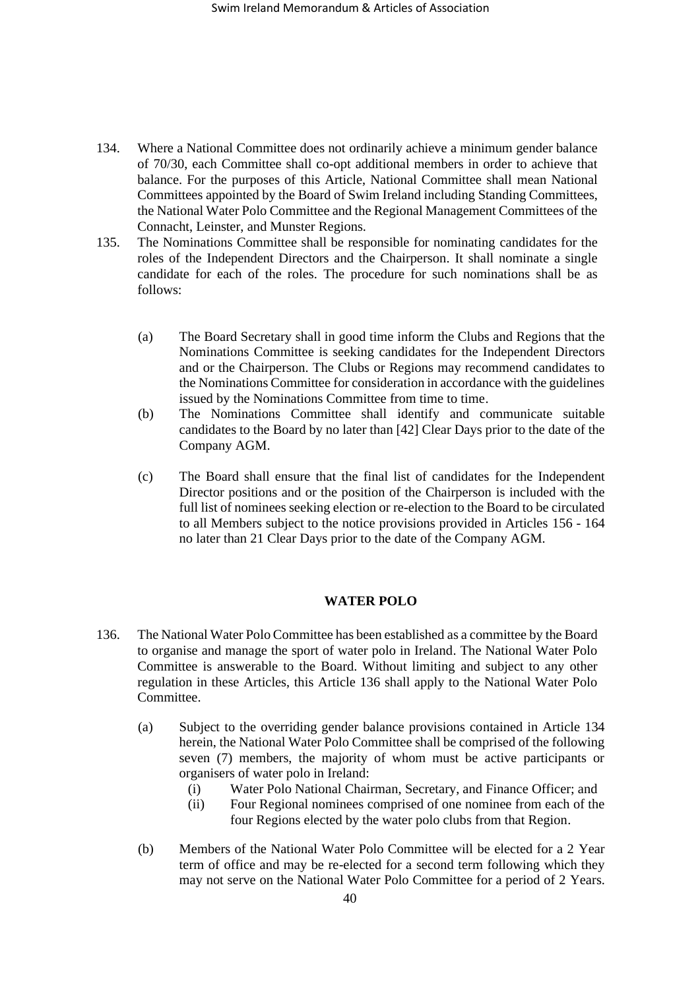- 134. Where a National Committee does not ordinarily achieve a minimum gender balance of 70/30, each Committee shall co-opt additional members in order to achieve that balance. For the purposes of this Article, National Committee shall mean National Committees appointed by the Board of Swim Ireland including Standing Committees, the National Water Polo Committee and the Regional Management Committees of the Connacht, Leinster, and Munster Regions.
- 135. The Nominations Committee shall be responsible for nominating candidates for the roles of the Independent Directors and the Chairperson. It shall nominate a single candidate for each of the roles. The procedure for such nominations shall be as follows:
	- (a) The Board Secretary shall in good time inform the Clubs and Regions that the Nominations Committee is seeking candidates for the Independent Directors and or the Chairperson. The Clubs or Regions may recommend candidates to the Nominations Committee for consideration in accordance with the guidelines issued by the Nominations Committee from time to time.
	- (b) The Nominations Committee shall identify and communicate suitable candidates to the Board by no later than [42] Clear Days prior to the date of the Company AGM.
	- (c) The Board shall ensure that the final list of candidates for the Independent Director positions and or the position of the Chairperson is included with the full list of nominees seeking election or re-election to the Board to be circulated to all Members subject to the notice provisions provided in Articles 156 - 164 no later than 21 Clear Days prior to the date of the Company AGM.

# **WATER POLO**

- 136. The National Water Polo Committee has been established as a committee by the Board to organise and manage the sport of water polo in Ireland. The National Water Polo Committee is answerable to the Board. Without limiting and subject to any other regulation in these Articles, this Article 136 shall apply to the National Water Polo Committee.
	- (a) Subject to the overriding gender balance provisions contained in Article 134 herein, the National Water Polo Committee shall be comprised of the following seven (7) members, the majority of whom must be active participants or organisers of water polo in Ireland:
		- (i) Water Polo National Chairman, Secretary, and Finance Officer; and
		- (ii) Four Regional nominees comprised of one nominee from each of the four Regions elected by the water polo clubs from that Region.
	- (b) Members of the National Water Polo Committee will be elected for a 2 Year term of office and may be re-elected for a second term following which they may not serve on the National Water Polo Committee for a period of 2 Years.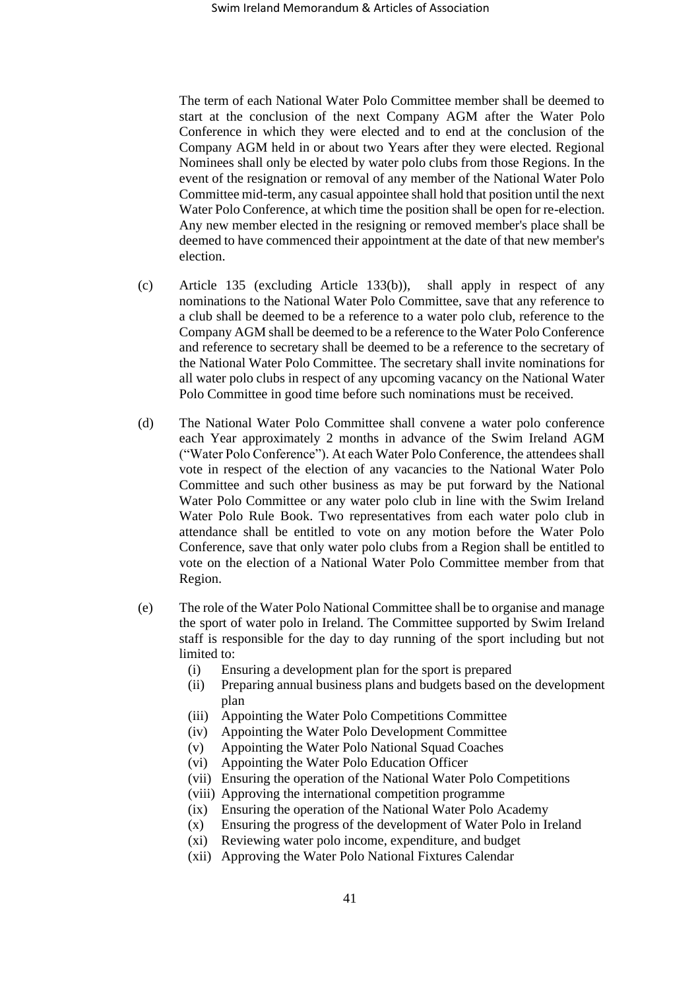The term of each National Water Polo Committee member shall be deemed to start at the conclusion of the next Company AGM after the Water Polo Conference in which they were elected and to end at the conclusion of the Company AGM held in or about two Years after they were elected. Regional Nominees shall only be elected by water polo clubs from those Regions. In the event of the resignation or removal of any member of the National Water Polo Committee mid-term, any casual appointee shall hold that position until the next Water Polo Conference, at which time the position shall be open for re-election. Any new member elected in the resigning or removed member's place shall be deemed to have commenced their appointment at the date of that new member's election.

- (c) Article 135 (excluding Article [133\(b\)\)](#page-38-1), shall apply in respect of any nominations to the National Water Polo Committee, save that any reference to a club shall be deemed to be a reference to a water polo club, reference to the Company AGM shall be deemed to be a reference to the Water Polo Conference and reference to secretary shall be deemed to be a reference to the secretary of the National Water Polo Committee. The secretary shall invite nominations for all water polo clubs in respect of any upcoming vacancy on the National Water Polo Committee in good time before such nominations must be received.
- <span id="page-40-0"></span>(d) The National Water Polo Committee shall convene a water polo conference each Year approximately 2 months in advance of the Swim Ireland AGM ("Water Polo Conference"). At each Water Polo Conference, the attendees shall vote in respect of the election of any vacancies to the National Water Polo Committee and such other business as may be put forward by the National Water Polo Committee or any water polo club in line with the Swim Ireland Water Polo Rule Book. Two representatives from each water polo club in attendance shall be entitled to vote on any motion before the Water Polo Conference, save that only water polo clubs from a Region shall be entitled to vote on the election of a National Water Polo Committee member from that Region.
- (e) The role of the Water Polo National Committee shall be to organise and manage the sport of water polo in Ireland. The Committee supported by Swim Ireland staff is responsible for the day to day running of the sport including but not limited to:
	- (i) Ensuring a development plan for the sport is prepared
	- (ii) Preparing annual business plans and budgets based on the development plan
	- (iii) Appointing the Water Polo Competitions Committee
	- (iv) Appointing the Water Polo Development Committee
	- (v) Appointing the Water Polo National Squad Coaches
	- (vi) Appointing the Water Polo Education Officer
	- (vii) Ensuring the operation of the National Water Polo Competitions
	- (viii) Approving the international competition programme
	- (ix) Ensuring the operation of the National Water Polo Academy
	- (x) Ensuring the progress of the development of Water Polo in Ireland
	- (xi) Reviewing water polo income, expenditure, and budget
	- (xii) Approving the Water Polo National Fixtures Calendar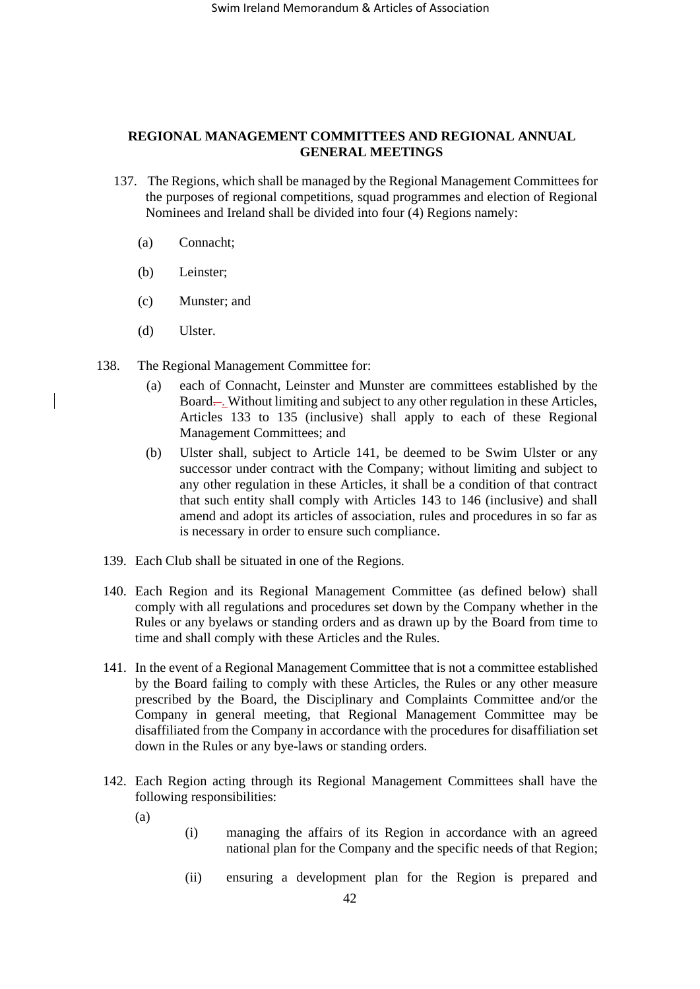# **REGIONAL MANAGEMENT COMMITTEES AND REGIONAL ANNUAL GENERAL MEETINGS**

- 137. The Regions, which shall be managed by the Regional Management Committees for the purposes of regional competitions, squad programmes and election of Regional Nominees and Ireland shall be divided into four (4) Regions namely:
	- (a) Connacht;
	- (b) Leinster;
	- (c) Munster; and
	- (d) Ulster.
- 138. The Regional Management Committee for:
	- (a) each of Connacht, Leinster and Munster are committees established by the Board—. Without limiting and subject to any other regulation in these Articles, Articles 133 to 135 (inclusive) shall apply to each of these Regional Management Committees; and
	- (b) Ulster shall, subject to Article [141,](#page-41-0) be deemed to be Swim Ulster or any successor under contract with the Company; without limiting and subject to any other regulation in these Articles, it shall be a condition of that contract that such entity shall comply with Articles 143 to 146 (inclusive) and shall amend and adopt its articles of association, rules and procedures in so far as is necessary in order to ensure such compliance.
- 139. Each Club shall be situated in one of the Regions.
- 140. Each Region and its Regional Management Committee (as defined below) shall comply with all regulations and procedures set down by the Company whether in the Rules or any byelaws or standing orders and as drawn up by the Board from time to time and shall comply with these Articles and the Rules.
- <span id="page-41-0"></span>141. In the event of a Regional Management Committee that is not a committee established by the Board failing to comply with these Articles, the Rules or any other measure prescribed by the Board, the Disciplinary and Complaints Committee and/or the Company in general meeting, that Regional Management Committee may be disaffiliated from the Company in accordance with the procedures for disaffiliation set down in the Rules or any bye-laws or standing orders.
- 142. Each Region acting through its Regional Management Committees shall have the following responsibilities:
	- (a)
- (i) managing the affairs of its Region in accordance with an agreed national plan for the Company and the specific needs of that Region;
- (ii) ensuring a development plan for the Region is prepared and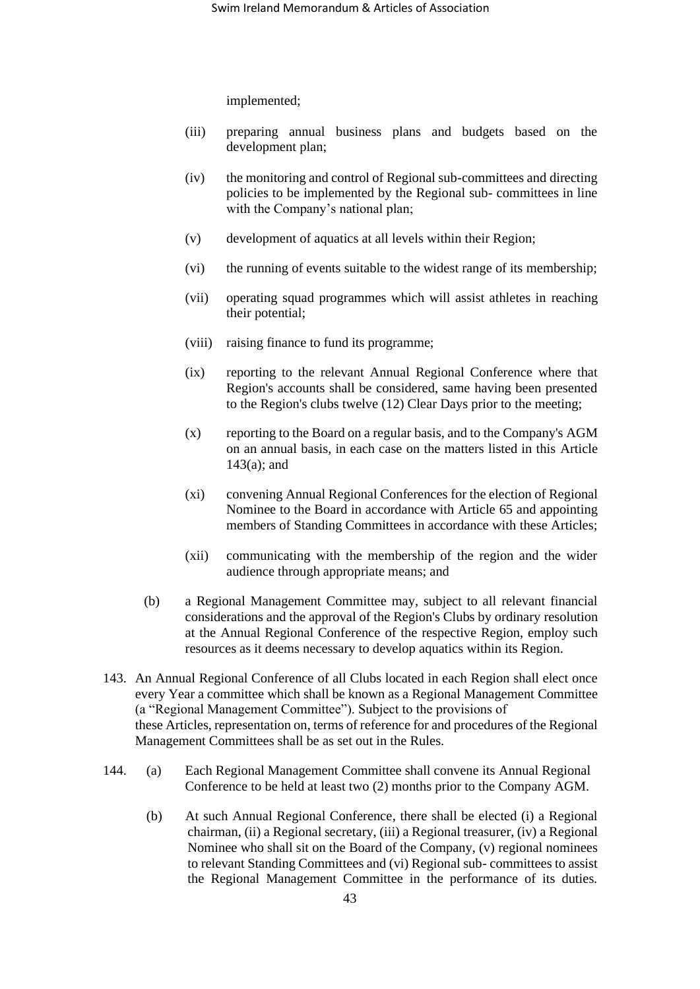implemented;

- (iii) preparing annual business plans and budgets based on the development plan;
- (iv) the monitoring and control of Regional sub-committees and directing policies to be implemented by the Regional sub- committees in line with the Company's national plan;
- (v) development of aquatics at all levels within their Region;
- (vi) the running of events suitable to the widest range of its membership;
- (vii) operating squad programmes which will assist athletes in reaching their potential;
- (viii) raising finance to fund its programme;
- (ix) reporting to the relevant Annual Regional Conference where that Region's accounts shall be considered, same having been presented to the Region's clubs twelve (12) Clear Days prior to the meeting;
- (x) reporting to the Board on a regular basis, and to the Company's AGM on an annual basis, in each case on the matters listed in this Article 143(a); and
- (xi) convening Annual Regional Conferences for the election of Regional Nominee to the Board in accordance with Article 65 and appointing members of Standing Committees in accordance with these Articles;
- (xii) communicating with the membership of the region and the wider audience through appropriate means; and
- (b) a Regional Management Committee may, subject to all relevant financial considerations and the approval of the Region's Clubs by ordinary resolution at the Annual Regional Conference of the respective Region, employ such resources as it deems necessary to develop aquatics within its Region.
- 143. An Annual Regional Conference of all Clubs located in each Region shall elect once every Year a committee which shall be known as a Regional Management Committee (a "Regional Management Committee"). Subject to the provisions of these Articles, representation on, terms of reference for and procedures of the Regional Management Committees shall be as set out in the Rules.
- 144. (a) Each Regional Management Committee shall convene its Annual Regional Conference to be held at least two (2) months prior to the Company AGM.
	- (b) At such Annual Regional Conference, there shall be elected (i) a Regional chairman, (ii) a Regional secretary, (iii) a Regional treasurer, (iv) a Regional Nominee who shall sit on the Board of the Company, (v) regional nominees to relevant Standing Committees and (vi) Regional sub- committees to assist the Regional Management Committee in the performance of its duties.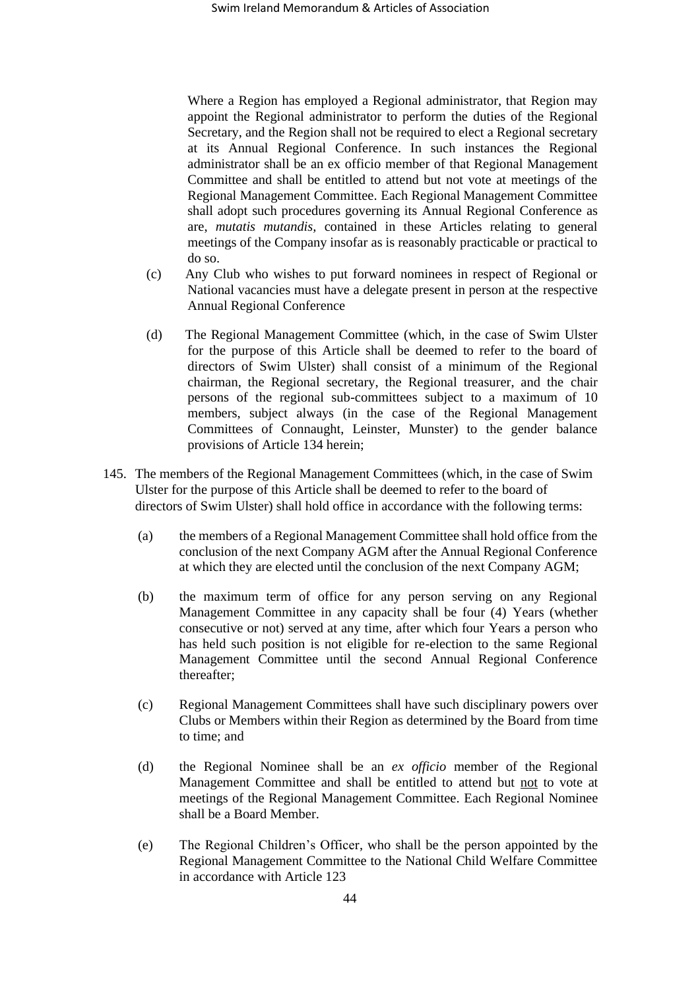Where a Region has employed a Regional administrator, that Region may appoint the Regional administrator to perform the duties of the Regional Secretary, and the Region shall not be required to elect a Regional secretary at its Annual Regional Conference. In such instances the Regional administrator shall be an ex officio member of that Regional Management Committee and shall be entitled to attend but not vote at meetings of the Regional Management Committee. Each Regional Management Committee shall adopt such procedures governing its Annual Regional Conference as are, *mutatis mutandis,* contained in these Articles relating to general meetings of the Company insofar as is reasonably practicable or practical to do so.

- (c) Any Club who wishes to put forward nominees in respect of Regional or National vacancies must have a delegate present in person at the respective Annual Regional Conference
- (d) The Regional Management Committee (which, in the case of Swim Ulster for the purpose of this Article shall be deemed to refer to the board of directors of Swim Ulster) shall consist of a minimum of the Regional chairman, the Regional secretary, the Regional treasurer, and the chair persons of the regional sub-committees subject to a maximum of 10 members, subject always (in the case of the Regional Management Committees of Connaught, Leinster, Munster) to the gender balance provisions of Article 134 herein;
- 145. The members of the Regional Management Committees (which, in the case of Swim Ulster for the purpose of this Article shall be deemed to refer to the board of directors of Swim Ulster) shall hold office in accordance with the following terms:
	- (a) the members of a Regional Management Committee shall hold office from the conclusion of the next Company AGM after the Annual Regional Conference at which they are elected until the conclusion of the next Company AGM;
	- (b) the maximum term of office for any person serving on any Regional Management Committee in any capacity shall be four (4) Years (whether consecutive or not) served at any time, after which four Years a person who has held such position is not eligible for re-election to the same Regional Management Committee until the second Annual Regional Conference thereafter;
	- (c) Regional Management Committees shall have such disciplinary powers over Clubs or Members within their Region as determined by the Board from time to time; and
	- (d) the Regional Nominee shall be an *ex officio* member of the Regional Management Committee and shall be entitled to attend but not to vote at meetings of the Regional Management Committee. Each Regional Nominee shall be a Board Member.
	- (e) The Regional Children's Officer, who shall be the person appointed by the Regional Management Committee to the National Child Welfare Committee in accordance with Article 123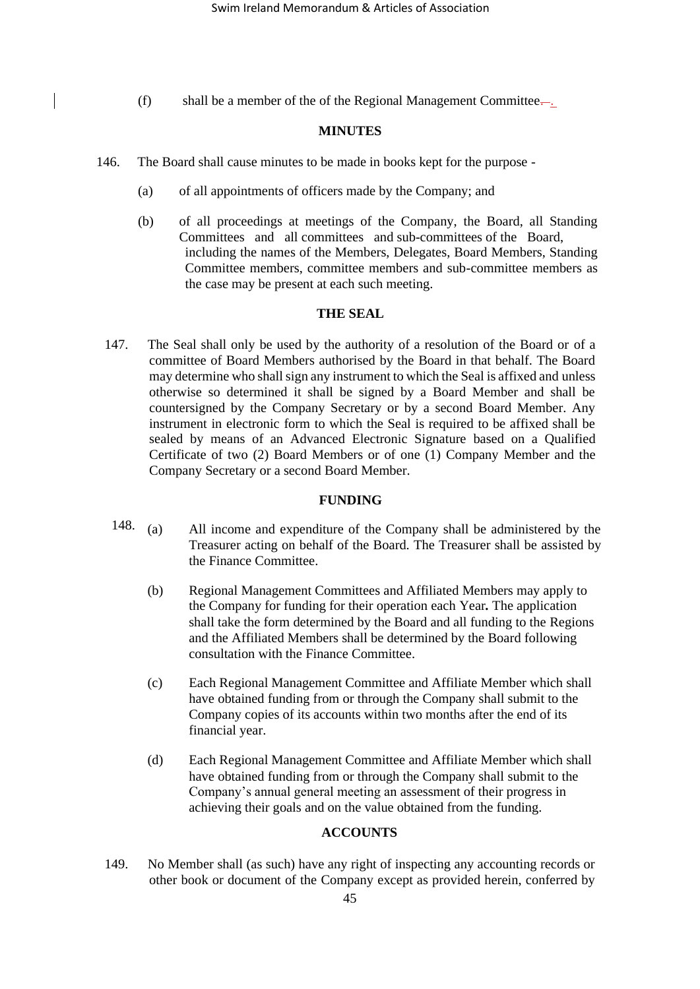(f) shall be a member of the of the Regional Management Committee...

#### **MINUTES**

- 146. The Board shall cause minutes to be made in books kept for the purpose
	- (a) of all appointments of officers made by the Company; and
	- (b) of all proceedings at meetings of the Company, the Board, all Standing Committees and all committees and sub-committees of the Board, including the names of the Members, Delegates, Board Members, Standing Committee members, committee members and sub-committee members as the case may be present at each such meeting.

## **THE SEAL**

147. The Seal shall only be used by the authority of a resolution of the Board or of a committee of Board Members authorised by the Board in that behalf. The Board may determine who shall sign any instrument to which the Seal is affixed and unless otherwise so determined it shall be signed by a Board Member and shall be countersigned by the Company Secretary or by a second Board Member. Any instrument in electronic form to which the Seal is required to be affixed shall be sealed by means of an Advanced Electronic Signature based on a Qualified Certificate of two (2) Board Members or of one (1) Company Member and the Company Secretary or a second Board Member.

#### **FUNDING**

- 148.  $(a)$ 4 All income and expenditure of the Company shall be administered by the Treasurer acting on behalf of the Board. The Treasurer shall be assisted by the Finance Committee.
	- (b) Regional Management Committees and Affiliated Members may apply to the Company for funding for their operation each Year*.* The application shall take the form determined by the Board and all funding to the Regions and the Affiliated Members shall be determined by the Board following consultation with the Finance Committee.
	- (c) Each Regional Management Committee and Affiliate Member which shall have obtained funding from or through the Company shall submit to the Company copies of its accounts within two months after the end of its financial year.
	- (d) Each Regional Management Committee and Affiliate Member which shall have obtained funding from or through the Company shall submit to the Company's annual general meeting an assessment of their progress in achieving their goals and on the value obtained from the funding.

# **ACCOUNTS**

149. No Member shall (as such) have any right of inspecting any accounting records or other book or document of the Company except as provided herein, conferred by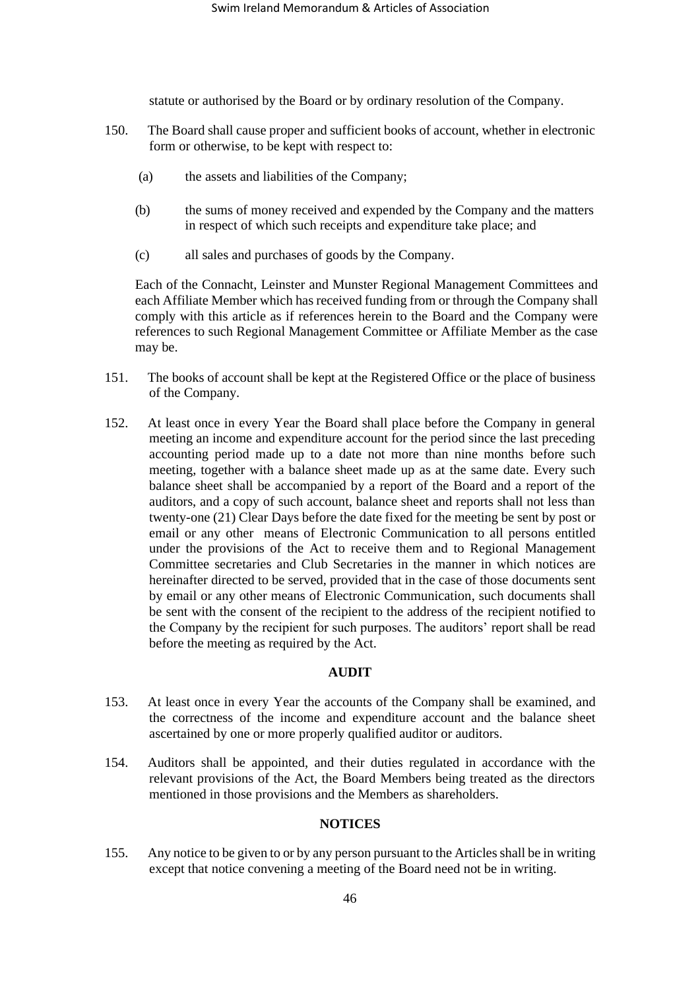statute or authorised by the Board or by ordinary resolution of the Company.

- 150. The Board shall cause proper and sufficient books of account, whether in electronic form or otherwise, to be kept with respect to:
	- (a) the assets and liabilities of the Company;
	- (b) the sums of money received and expended by the Company and the matters in respect of which such receipts and expenditure take place; and
	- (c) all sales and purchases of goods by the Company.

Each of the Connacht, Leinster and Munster Regional Management Committees and each Affiliate Member which has received funding from or through the Company shall comply with this article as if references herein to the Board and the Company were references to such Regional Management Committee or Affiliate Member as the case may be.

- 151. The books of account shall be kept at the Registered Office or the place of business of the Company.
- 152. At least once in every Year the Board shall place before the Company in general meeting an income and expenditure account for the period since the last preceding accounting period made up to a date not more than nine months before such meeting, together with a balance sheet made up as at the same date. Every such balance sheet shall be accompanied by a report of the Board and a report of the auditors, and a copy of such account, balance sheet and reports shall not less than twenty-one (21) Clear Days before the date fixed for the meeting be sent by post or email or any other means of Electronic Communication to all persons entitled under the provisions of the Act to receive them and to Regional Management Committee secretaries and Club Secretaries in the manner in which notices are hereinafter directed to be served, provided that in the case of those documents sent by email or any other means of Electronic Communication, such documents shall be sent with the consent of the recipient to the address of the recipient notified to the Company by the recipient for such purposes. The auditors' report shall be read before the meeting as required by the Act.

#### **AUDIT**

- 153. At least once in every Year the accounts of the Company shall be examined, and the correctness of the income and expenditure account and the balance sheet ascertained by one or more properly qualified auditor or auditors.
- 154. Auditors shall be appointed, and their duties regulated in accordance with the relevant provisions of the Act, the Board Members being treated as the directors mentioned in those provisions and the Members as shareholders.

## **NOTICES**

<span id="page-45-0"></span>155. Any notice to be given to or by any person pursuant to the Articles shall be in writing except that notice convening a meeting of the Board need not be in writing.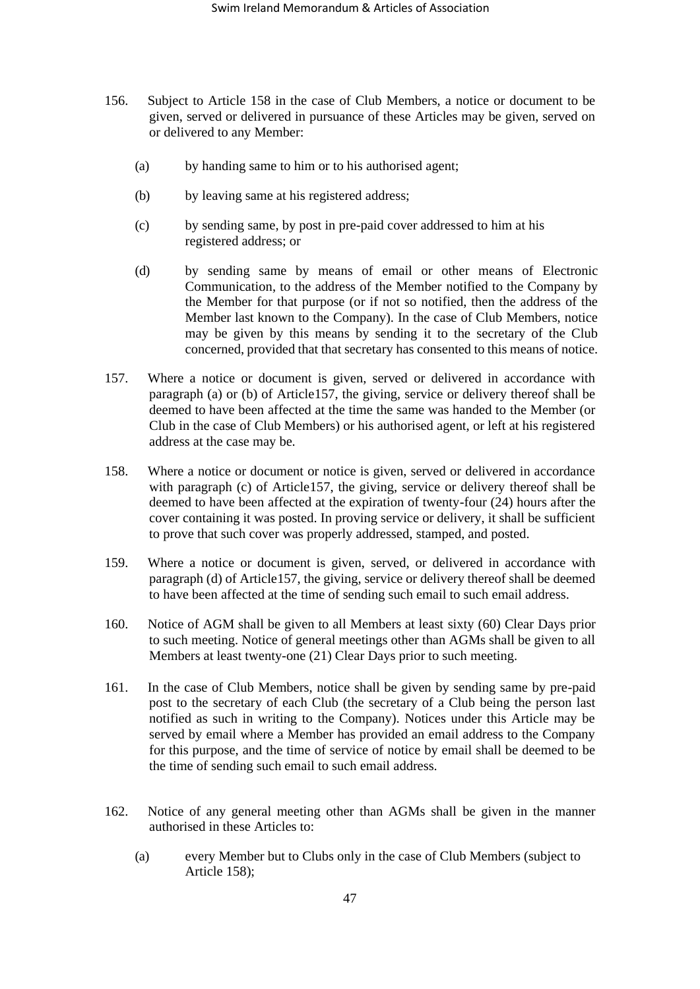- 156. Subject to Article 158 in the case of Club Members, a notice or document to be given, served or delivered in pursuance of these Articles may be given, served on or delivered to any Member:
	- (a) by handing same to him or to his authorised agent;
	- (b) by leaving same at his registered address;
	- (c) by sending same, by post in pre-paid cover addressed to him at his registered address; or
	- (d) by sending same by means of email or other means of Electronic Communication, to the address of the Member notified to the Company by the Member for that purpose (or if not so notified, then the address of the Member last known to the Company). In the case of Club Members, notice may be given by this means by sending it to the secretary of the Club concerned, provided that that secretary has consented to this means of notice.
- <span id="page-46-0"></span>157. Where a notice or document is given, served or delivered in accordance with paragraph (a) or (b) of Article157, the giving, service or delivery thereof shall be deemed to have been affected at the time the same was handed to the Member (or Club in the case of Club Members) or his authorised agent, or left at his registered address at the case may be.
- 158. Where a notice or document or notice is given, served or delivered in accordance with paragraph (c) of Article157, the giving, service or delivery thereof shall be deemed to have been affected at the expiration of twenty-four (24) hours after the cover containing it was posted. In proving service or delivery, it shall be sufficient to prove that such cover was properly addressed, stamped, and posted.
- 159. Where a notice or document is given, served, or delivered in accordance with paragraph (d) of Article157, the giving, service or delivery thereof shall be deemed to have been affected at the time of sending such email to such email address.
- 160. Notice of AGM shall be given to all Members at least sixty (60) Clear Days prior to such meeting. Notice of general meetings other than AGMs shall be given to all Members at least twenty-one (21) Clear Days prior to such meeting.
- 161. In the case of Club Members, notice shall be given by sending same by pre-paid post to the secretary of each Club (the secretary of a Club being the person last notified as such in writing to the Company). Notices under this Article may be served by email where a Member has provided an email address to the Company for this purpose, and the time of service of notice by email shall be deemed to be the time of sending such email to such email address.
- 162. Notice of any general meeting other than AGMs shall be given in the manner authorised in these Articles to:
	- (a) every Member but to Clubs only in the case of Club Members (subject to Article 158);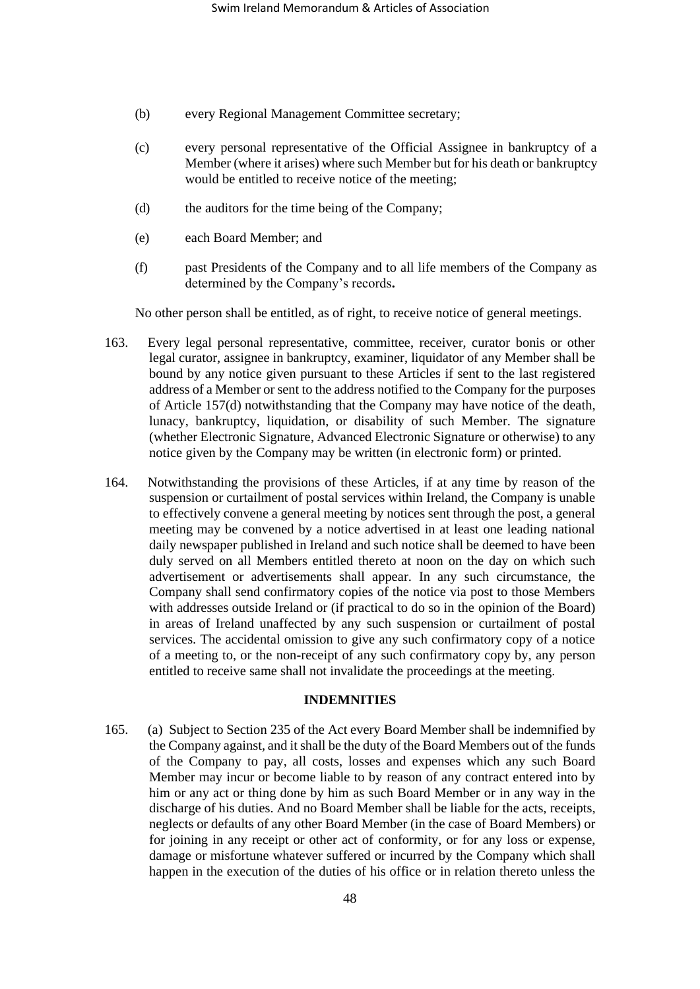- (b) every Regional Management Committee secretary;
- (c) every personal representative of the Official Assignee in bankruptcy of a Member (where it arises) where such Member but for his death or bankruptcy would be entitled to receive notice of the meeting;
- (d) the auditors for the time being of the Company;
- (e) each Board Member; and
- (f) past Presidents of the Company and to all life members of the Company as determined by the Company's records**.**

No other person shall be entitled, as of right, to receive notice of general meetings.

- 163. Every legal personal representative, committee, receiver, curator bonis or other legal curator, assignee in bankruptcy, examiner, liquidator of any Member shall be bound by any notice given pursuant to these Articles if sent to the last registered address of a Member or sent to the address notified to the Company for the purposes of Article 15[7\(d\)](#page-46-0) notwithstanding that the Company may have notice of the death, lunacy, bankruptcy, liquidation, or disability of such Member. The signature (whether Electronic Signature, Advanced Electronic Signature or otherwise) to any notice given by the Company may be written (in electronic form) or printed.
- <span id="page-47-0"></span>164. Notwithstanding the provisions of these Articles, if at any time by reason of the suspension or curtailment of postal services within Ireland, the Company is unable to effectively convene a general meeting by notices sent through the post, a general meeting may be convened by a notice advertised in at least one leading national daily newspaper published in Ireland and such notice shall be deemed to have been duly served on all Members entitled thereto at noon on the day on which such advertisement or advertisements shall appear. In any such circumstance, the Company shall send confirmatory copies of the notice via post to those Members with addresses outside Ireland or (if practical to do so in the opinion of the Board) in areas of Ireland unaffected by any such suspension or curtailment of postal services. The accidental omission to give any such confirmatory copy of a notice of a meeting to, or the non-receipt of any such confirmatory copy by, any person entitled to receive same shall not invalidate the proceedings at the meeting.

# **INDEMNITIES**

165. (a) Subject to Section 235 of the Act every Board Member shall be indemnified by the Company against, and it shall be the duty of the Board Members out of the funds of the Company to pay, all costs, losses and expenses which any such Board Member may incur or become liable to by reason of any contract entered into by him or any act or thing done by him as such Board Member or in any way in the discharge of his duties. And no Board Member shall be liable for the acts, receipts, neglects or defaults of any other Board Member (in the case of Board Members) or for joining in any receipt or other act of conformity, or for any loss or expense, damage or misfortune whatever suffered or incurred by the Company which shall happen in the execution of the duties of his office or in relation thereto unless the